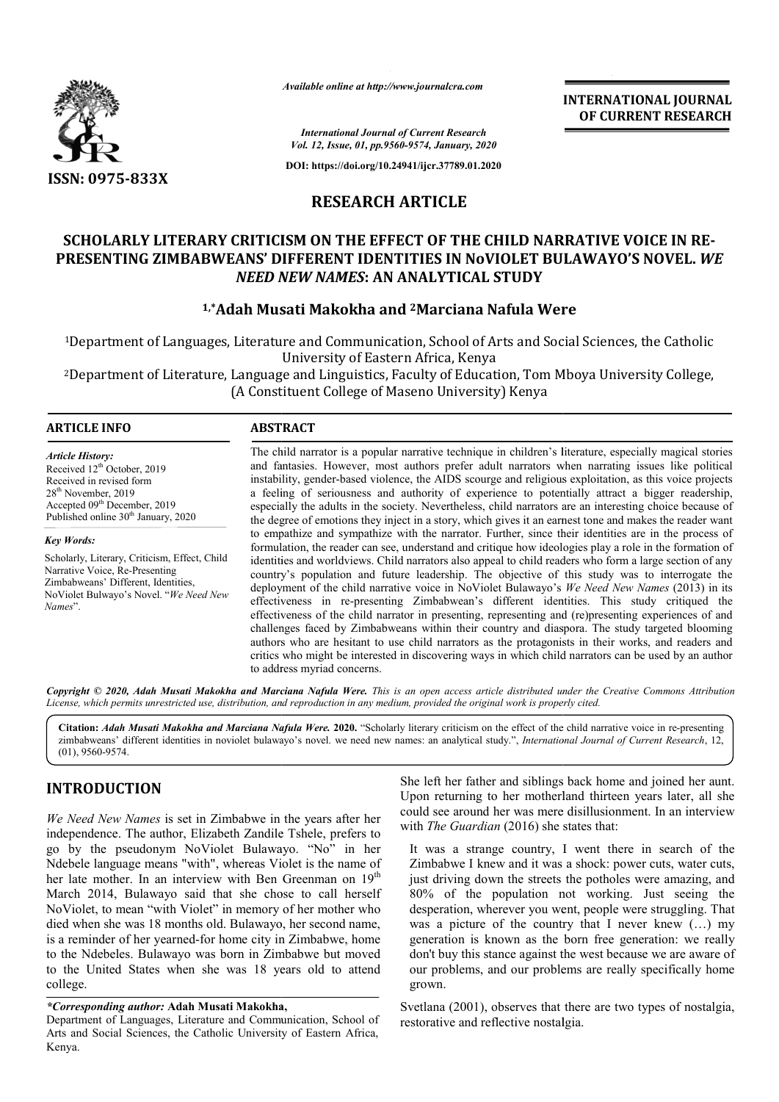

*Available online at http://www.journalcra.com*

**INTERNATIONAL JOURNAL OF CURRENT RESEARCH**

*International Journal of Current Research Vol. 12, Issue, 01, pp.9560-9574, January, 2020*

**DOI: https://doi.org/10.24941/ijcr.37789.01.2020**

# **RESEARCH ARTICLE**

# **SCHOLARLY LITERARY CRITICISM ON THE EFFECT OF THE CHILD NARRATIVE VOICE IN RE EFFECT OF CHILD RE-PRESENTING ZIMBABWEANS' DIFFERENT IDENTITIES IN NoVIOLET BUL VIOLET BULAWAYO'S NOVEL.** *WE NEED NEW NAMES* **: AN ANALYTICAL STUDY**

# <sup>1,\*</sup>Adah Musati Makokha and <sup>2</sup>Marciana Nafula Were

1Department of Languages, Literature and Communication, School of Arts and Social Sciences, the Catholic University of Eastern Africa, Kenya of Languages, Literature and Communication, School of Arts and Social Sciences, the Catholic<br>University of Eastern Africa, Kenya<br>of Literature, Language and Linguistics, Faculty of Education, Tom Mboya University College,

2Department of Literature, Language and Linguistics, Faculty of Education, Tom Mboya University College, Department College of Maseno University) Kenya (A Constituent College of Maseno University) Kenya

## **ARTICLE INFO ABSTRACT**

*Article History:* Received 12<sup>th</sup> October, 2019 Received in revised form 28th November, 2019 Accepted 09<sup>th</sup> December, 2019 Published online 30<sup>th</sup> January, 2020

*Key Words:* Scholarly, Literary, Criticism, Effect, Child

Narrative Voice, Re-Presenting Zimbabweans' Different, Identities, NoViolet Bulwayo's Novel. "*We Need New Names*".

The child narrator is a popular narrative technique in children's literature, especially magical stories and fantasies. However, most authors prefer adult narrators when narrating issues like political instability, gender-based violence, the AIDS scourge and religious exploitation, as this voice projects a feeling of seriousness and authority of experience to potentially attract a bigger readership, especially the adults in the society. Nevertheless, child narrators are an interesting choice because of the degree of emotions they inject in a story, which gives it an earnest tone and makes the reader want to empathize and sympathize with the narrator. Further, since their identities are in the process of formulation, the reader can see, understand and critique how ideologies play a role in the formation of identities and worldviews. Child narrators also appeal to child readers who form a large section of any country's population and future leadership. The objective of this study was to interrogate the deployme deployment of the child narrative voice in NoViolet Bulawayo's effectiveness in re re-presenting Zimbabwean's different identities. This study critiqued the effectiveness in re-presenting Zimbabwean's different identities. This study critiqued the effectiveness of the child narrator in presenting, representing and (re)presenting experiences of and challenges faced by Zimbabweans within their country and diaspora. The study targeted blooming authors who are hesitant to use child narrators as the protagonists in their works, and readers and challenges faced by Zimbabweans within their country and diaspora. The study targeted blooming authors who are hesitant to use child narrators as the protagonists in their works, and readers and critics who might be intere to address myriad concerns. The child narrator is a popular narrative technique in children's literature, especially magical stories and fantasies. However, most authors prefer adult narrators when narrating issues like political instability, gender-INTERNATIONAL IOURNAL<br>
CONCURRENT RESEARCH<br>
CHANGES CONSULT AND CONSULT RESEARCH<br>
THE CHILD NARRATIVE VOICE IN RE-<br>
THE CHILD NARRATIVE VOICE IN RE-<br>
THE CHILD NARRATIVE VOICE IN RE-<br>
NIN NOVIOLET BULAWAYO'S NOVEL. WE<br>
TIC

Copyright © 2020, Adah Musati Makokha and Marciana Nafula Were. This is an open access article distributed under the Creative Commons Attribution License, which permits unrestricted use, distribution, and reproduction in any medium, provided the original work is properly cited.

Citation: *Adah Musati Makokha and Marciana Nafula Were.* 2020. "Scholarly literary criticism on the effect of the child narrative voice in re-presenting zimbabweans' different identities in noviolet bulawayo's novel. we need new names: an analytical study.", *International Journal of Current Research*, 12, (01), 9560-9574.

## **INTRODUCTION**

*We Need New Names* is set in Zimbabwe in the years after her independence. The author, Elizabeth Zandile Tshele, prefers to go by the pseudonym NoViolet Bulawayo. "No" in her Ndebele language means "with", whereas Violet is the name of her late mother. In an interview with Ben Greenman on 19<sup>th</sup> March 2014, Bulawayo said that she chose to call herself NoViolet, to mean "with Violet" in memory of her mother who died when she was 18 months old. Bulawayo, her second name, is a reminder of her yearned-for home city in Zimbabwe, home to the Ndebeles. Bulawayo was born in Zimbabwe but moved to the United States when she was 18 years old to attend college.

#### *\*Corresponding author:* **Adah Musati Makokha,**

Department of Languages, Literature and Communication, School of Arts and Social Sciences, the Catholic University of Eastern Africa, Kenya.

Upon returning to her motherland thirteen years later, all she could see around her was mere disillusionment. In an interview with *The Guardian* (2016) she states that:

**ION**<br> **ION**<br> **ION**<br> **ION**<br> **ION**<br> **ION**<br> **ION**<br> **ION**<br> **ION**<br> **ION**<br> **ION**<br> **ION**<br> **ION**<br> **ION**<br> **ION**<br> **ION**<br> **ION**<br> **ION**<br> **ION**<br> **ION**<br> **ION**<br> **ION**<br> **ION**<br> **ION**<br> **ION**<br> **ION**<br> **ION**<br> **ION**<br> **ION**<br> **ION**<br> **ION**<br> **ION** It was a strange country, I went there in search of the Zimbabwe I knew and it was a shock: power cuts, water cuts, just driving down the streets the potholes were amazing, and he left her father and siblings back home and joined her aunt.<br>
pon returning to her motherland thirteen years later, all she<br>
buld see around her was mere disillusionment. In an interview<br>
ith *The Guardian* (2016) she st desperation, wherever you went, people were struggling. That desperation, wherever you went, people were struggling. That was a picture of the country that I never knew  $(...)$  my generation is known as the born free generation: we really don't buy this stance against the west because we are aware of our problems, and our problems are really specifically home grown.

Svetlana (2001), observes that there are two types of nostalgia, restorative and reflective nostalgia.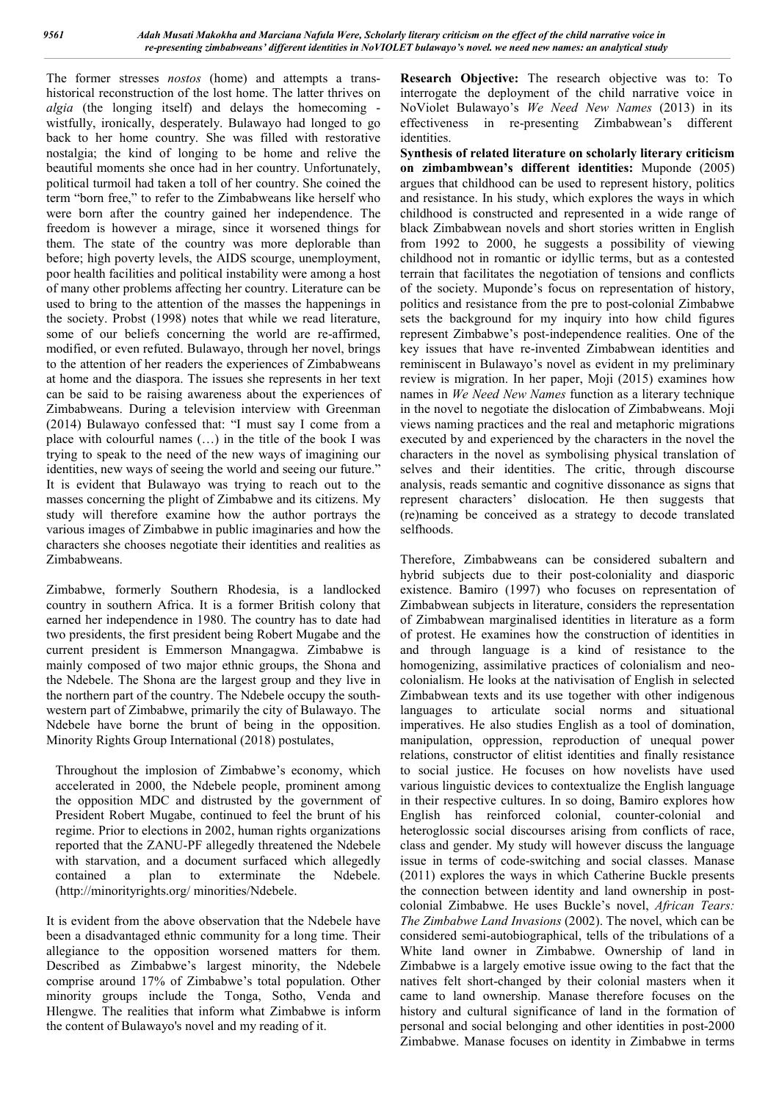The former stresses *nostos* (home) and attempts a transhistorical reconstruction of the lost home. The latter thrives on *algia* (the longing itself) and delays the homecoming wistfully, ironically, desperately. Bulawayo had longed to go back to her home country. She was filled with restorative nostalgia; the kind of longing to be home and relive the beautiful moments she once had in her country. Unfortunately, political turmoil had taken a toll of her country. She coined the term "born free," to refer to the Zimbabweans like herself who were born after the country gained her independence. The freedom is however a mirage, since it worsened things for them. The state of the country was more deplorable than before; high poverty levels, the AIDS scourge, unemployment, poor health facilities and political instability were among a host of many other problems affecting her country. Literature can be used to bring to the attention of the masses the happenings in the society. Probst (1998) notes that while we read literature, some of our beliefs concerning the world are re-affirmed, modified, or even refuted. Bulawayo, through her novel, brings to the attention of her readers the experiences of Zimbabweans at home and the diaspora. The issues she represents in her text can be said to be raising awareness about the experiences of Zimbabweans. During a television interview with Greenman (2014) Bulawayo confessed that: "I must say I come from a place with colourful names (…) in the title of the book I was trying to speak to the need of the new ways of imagining our identities, new ways of seeing the world and seeing our future." It is evident that Bulawayo was trying to reach out to the masses concerning the plight of Zimbabwe and its citizens. My study will therefore examine how the author portrays the various images of Zimbabwe in public imaginaries and how the characters she chooses negotiate their identities and realities as Zimbabweans.

Zimbabwe, formerly Southern Rhodesia, is a landlocked country in southern Africa. It is a former British colony that earned her independence in 1980. The country has to date had two presidents, the first president being Robert Mugabe and the current president is Emmerson Mnangagwa. Zimbabwe is mainly composed of two major ethnic groups, the Shona and the Ndebele. The Shona are the largest group and they live in the northern part of the country. The Ndebele occupy the southwestern part of Zimbabwe, primarily the city of Bulawayo. The Ndebele have borne the brunt of being in the opposition. Minority Rights Group International (2018) postulates,

Throughout the implosion of Zimbabwe's economy, which accelerated in 2000, the Ndebele people, prominent among the opposition MDC and distrusted by the government of President Robert Mugabe, continued to feel the brunt of his regime. Prior to elections in 2002, human rights organizations reported that the ZANU-PF allegedly threatened the Ndebele with starvation, and a document surfaced which allegedly contained a plan to exterminate the Ndebele. (http://minorityrights.org/ minorities/Ndebele.

It is evident from the above observation that the Ndebele have been a disadvantaged ethnic community for a long time. Their allegiance to the opposition worsened matters for them. Described as Zimbabwe's largest minority, the Ndebele comprise around 17% of Zimbabwe's total population. Other minority groups include the Tonga, Sotho, Venda and Hlengwe. The realities that inform what Zimbabwe is inform the content of Bulawayo's novel and my reading of it.

**Research Objective:** The research objective was to: To interrogate the deployment of the child narrative voice in NoViolet Bulawayo's *We Need New Names* (2013) in its effectiveness in re-presenting Zimbabwean's different identities.

**Synthesis of related literature on scholarly literary criticism on zimbambwean's different identities:** Muponde (2005) argues that childhood can be used to represent history, politics and resistance. In his study, which explores the ways in which childhood is constructed and represented in a wide range of black Zimbabwean novels and short stories written in English from 1992 to 2000, he suggests a possibility of viewing childhood not in romantic or idyllic terms, but as a contested terrain that facilitates the negotiation of tensions and conflicts of the society. Muponde's focus on representation of history, politics and resistance from the pre to post-colonial Zimbabwe sets the background for my inquiry into how child figures represent Zimbabwe's post-independence realities. One of the key issues that have re-invented Zimbabwean identities and reminiscent in Bulawayo's novel as evident in my preliminary review is migration. In her paper, Moji (2015) examines how names in *We Need New Names* function as a literary technique in the novel to negotiate the dislocation of Zimbabweans. Moji views naming practices and the real and metaphoric migrations executed by and experienced by the characters in the novel the characters in the novel as symbolising physical translation of selves and their identities. The critic, through discourse analysis, reads semantic and cognitive dissonance as signs that represent characters' dislocation. He then suggests that (re)naming be conceived as a strategy to decode translated selfhoods.

Therefore, Zimbabweans can be considered subaltern and hybrid subjects due to their post-coloniality and diasporic existence. Bamiro (1997) who focuses on representation of Zimbabwean subjects in literature, considers the representation of Zimbabwean marginalised identities in literature as a form of protest. He examines how the construction of identities in and through language is a kind of resistance to the homogenizing, assimilative practices of colonialism and neocolonialism. He looks at the nativisation of English in selected Zimbabwean texts and its use together with other indigenous languages to articulate social norms and situational imperatives. He also studies English as a tool of domination, manipulation, oppression, reproduction of unequal power relations, constructor of elitist identities and finally resistance to social justice. He focuses on how novelists have used various linguistic devices to contextualize the English language in their respective cultures. In so doing, Bamiro explores how English has reinforced colonial, counter-colonial and heteroglossic social discourses arising from conflicts of race, class and gender. My study will however discuss the language issue in terms of code-switching and social classes. Manase (2011) explores the ways in which Catherine Buckle presents the connection between identity and land ownership in postcolonial Zimbabwe. He uses Buckle's novel, *African Tears: The Zimbabwe Land Invasions* (2002). The novel, which can be considered semi-autobiographical, tells of the tribulations of a White land owner in Zimbabwe. Ownership of land in Zimbabwe is a largely emotive issue owing to the fact that the natives felt short-changed by their colonial masters when it came to land ownership. Manase therefore focuses on the history and cultural significance of land in the formation of personal and social belonging and other identities in post-2000 Zimbabwe. Manase focuses on identity in Zimbabwe in terms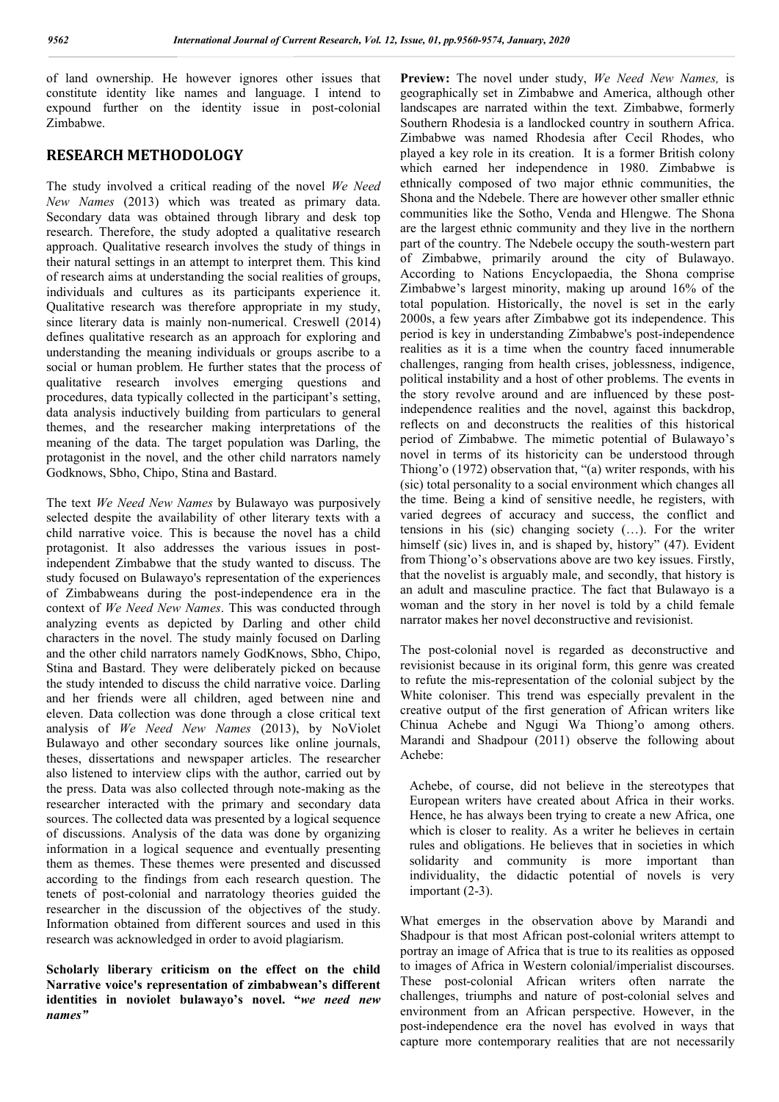of land ownership. He however ignores other issues that constitute identity like names and language. I intend to expound further on the identity issue in post-colonial Zimbabwe.

## **RESEARCH METHODOLOGY**

The study involved a critical reading of the novel *We Need New Names* (2013) which was treated as primary data. Secondary data was obtained through library and desk top research. Therefore, the study adopted a qualitative research approach. Qualitative research involves the study of things in their natural settings in an attempt to interpret them. This kind of research aims at understanding the social realities of groups, individuals and cultures as its participants experience it. Qualitative research was therefore appropriate in my study, since literary data is mainly non-numerical. Creswell (2014) defines qualitative research as an approach for exploring and understanding the meaning individuals or groups ascribe to a social or human problem. He further states that the process of qualitative research involves emerging questions and procedures, data typically collected in the participant's setting, data analysis inductively building from particulars to general themes, and the researcher making interpretations of the meaning of the data. The target population was Darling, the protagonist in the novel, and the other child narrators namely Godknows, Sbho, Chipo, Stina and Bastard.

The text *We Need New Names* by Bulawayo was purposively selected despite the availability of other literary texts with a child narrative voice. This is because the novel has a child protagonist. It also addresses the various issues in postindependent Zimbabwe that the study wanted to discuss. The study focused on Bulawayo's representation of the experiences of Zimbabweans during the post-independence era in the context of *We Need New Names*. This was conducted through analyzing events as depicted by Darling and other child characters in the novel. The study mainly focused on Darling and the other child narrators namely GodKnows, Sbho, Chipo, Stina and Bastard. They were deliberately picked on because the study intended to discuss the child narrative voice. Darling and her friends were all children, aged between nine and eleven. Data collection was done through a close critical text analysis of *We Need New Names* (2013), by NoViolet Bulawayo and other secondary sources like online journals, theses, dissertations and newspaper articles. The researcher also listened to interview clips with the author, carried out by the press. Data was also collected through note-making as the researcher interacted with the primary and secondary data sources. The collected data was presented by a logical sequence of discussions. Analysis of the data was done by organizing information in a logical sequence and eventually presenting them as themes. These themes were presented and discussed according to the findings from each research question. The tenets of post-colonial and narratology theories guided the researcher in the discussion of the objectives of the study. Information obtained from different sources and used in this research was acknowledged in order to avoid plagiarism.

**Scholarly liberary criticism on the effect on the child Narrative voice's representation of zimbabwean's different identities in noviolet bulawayo's novel. "***we need new names"*

**Preview:** The novel under study, *We Need New Names,* is geographically set in Zimbabwe and America, although other landscapes are narrated within the text. Zimbabwe, formerly Southern Rhodesia is a landlocked country in southern Africa. Zimbabwe was named Rhodesia after Cecil Rhodes, who played a key role in its creation. It is a former British colony which earned her independence in 1980. Zimbabwe is ethnically composed of two major ethnic communities, the Shona and the Ndebele. There are however other smaller ethnic communities like the Sotho, Venda and Hlengwe. The Shona are the largest ethnic community and they live in the northern part of the country. The Ndebele occupy the south-western part of Zimbabwe, primarily around the city of Bulawayo. According to Nations Encyclopaedia, the Shona comprise Zimbabwe's largest minority, making up around 16% of the total population. Historically, the novel is set in the early 2000s, a few years after Zimbabwe got its independence. This period is key in understanding Zimbabwe's post-independence realities as it is a time when the country faced innumerable challenges, ranging from health crises, joblessness, indigence, political instability and a host of other problems. The events in the story revolve around and are influenced by these postindependence realities and the novel, against this backdrop, reflects on and deconstructs the realities of this historical period of Zimbabwe. The mimetic potential of Bulawayo's novel in terms of its historicity can be understood through Thiong'o (1972) observation that, "(a) writer responds, with his (sic) total personality to a social environment which changes all the time. Being a kind of sensitive needle, he registers, with varied degrees of accuracy and success, the conflict and tensions in his (sic) changing society (…). For the writer himself (sic) lives in, and is shaped by, history" (47). Evident from Thiong'o's observations above are two key issues. Firstly, that the novelist is arguably male, and secondly, that history is an adult and masculine practice. The fact that Bulawayo is a woman and the story in her novel is told by a child female narrator makes her novel deconstructive and revisionist.

The post-colonial novel is regarded as deconstructive and revisionist because in its original form, this genre was created to refute the mis-representation of the colonial subject by the White coloniser. This trend was especially prevalent in the creative output of the first generation of African writers like Chinua Achebe and Ngugi Wa Thiong'o among others. Marandi and Shadpour (2011) observe the following about Achebe:

Achebe, of course, did not believe in the stereotypes that European writers have created about Africa in their works. Hence, he has always been trying to create a new Africa, one which is closer to reality. As a writer he believes in certain rules and obligations. He believes that in societies in which solidarity and community is more important than individuality, the didactic potential of novels is very important (2-3).

What emerges in the observation above by Marandi and Shadpour is that most African post-colonial writers attempt to portray an image of Africa that is true to its realities as opposed to images of Africa in Western colonial/imperialist discourses. These post-colonial African writers often narrate the challenges, triumphs and nature of post-colonial selves and environment from an African perspective. However, in the post-independence era the novel has evolved in ways that capture more contemporary realities that are not necessarily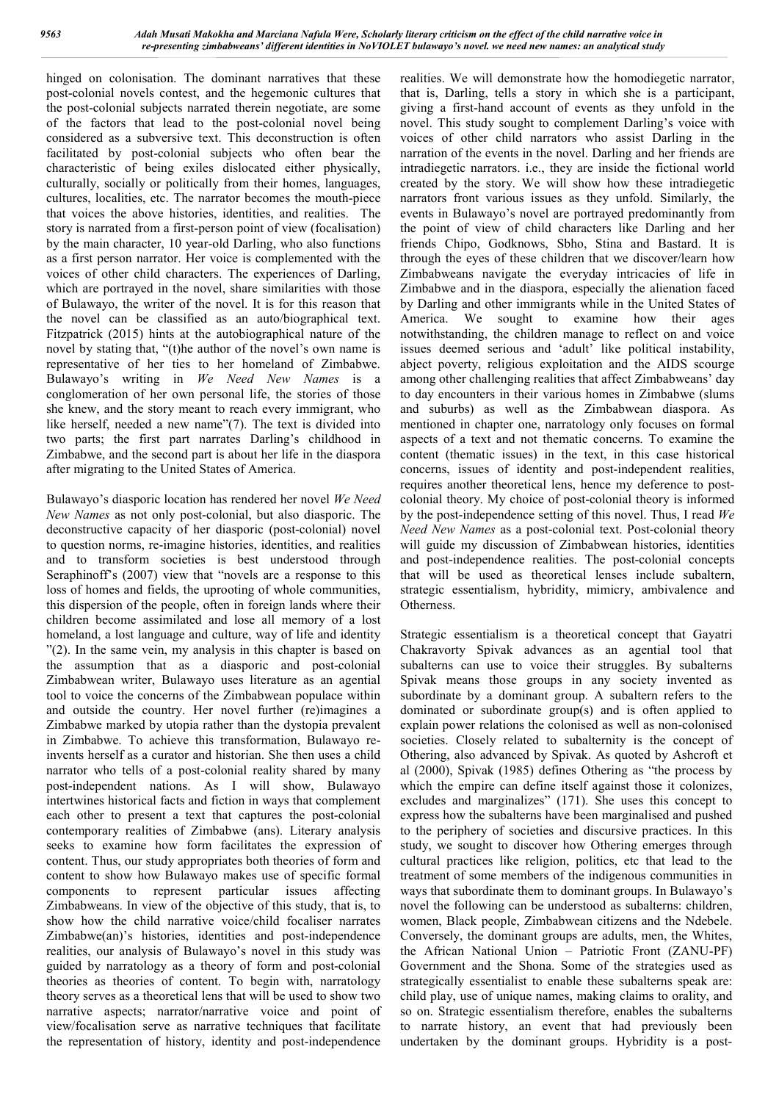hinged on colonisation. The dominant narratives that these post-colonial novels contest, and the hegemonic cultures that the post-colonial subjects narrated therein negotiate, are some of the factors that lead to the post-colonial novel being considered as a subversive text. This deconstruction is often facilitated by post-colonial subjects who often bear the characteristic of being exiles dislocated either physically, culturally, socially or politically from their homes, languages, cultures, localities, etc. The narrator becomes the mouth-piece that voices the above histories, identities, and realities. The story is narrated from a first-person point of view (focalisation) by the main character, 10 year-old Darling, who also functions as a first person narrator. Her voice is complemented with the voices of other child characters. The experiences of Darling, which are portrayed in the novel, share similarities with those of Bulawayo, the writer of the novel. It is for this reason that the novel can be classified as an auto/biographical text. Fitzpatrick (2015) hints at the autobiographical nature of the novel by stating that, "(t)he author of the novel's own name is representative of her ties to her homeland of Zimbabwe. Bulawayo's writing in *We Need New Names* is a conglomeration of her own personal life, the stories of those she knew, and the story meant to reach every immigrant, who like herself, needed a new name"(7). The text is divided into two parts; the first part narrates Darling's childhood in Zimbabwe, and the second part is about her life in the diaspora after migrating to the United States of America.

Bulawayo's diasporic location has rendered her novel *We Need New Names* as not only post-colonial, but also diasporic. The deconstructive capacity of her diasporic (post-colonial) novel to question norms, re-imagine histories, identities, and realities and to transform societies is best understood through Seraphinoff's (2007) view that "novels are a response to this loss of homes and fields, the uprooting of whole communities, this dispersion of the people, often in foreign lands where their children become assimilated and lose all memory of a lost homeland, a lost language and culture, way of life and identity "(2). In the same vein, my analysis in this chapter is based on the assumption that as a diasporic and post-colonial Zimbabwean writer, Bulawayo uses literature as an agential tool to voice the concerns of the Zimbabwean populace within and outside the country. Her novel further (re)imagines a Zimbabwe marked by utopia rather than the dystopia prevalent in Zimbabwe. To achieve this transformation, Bulawayo reinvents herself as a curator and historian. She then uses a child narrator who tells of a post-colonial reality shared by many post-independent nations. As I will show, Bulawayo intertwines historical facts and fiction in ways that complement each other to present a text that captures the post-colonial contemporary realities of Zimbabwe (ans). Literary analysis seeks to examine how form facilitates the expression of content. Thus, our study appropriates both theories of form and content to show how Bulawayo makes use of specific formal components to represent particular issues affecting Zimbabweans. In view of the objective of this study, that is, to show how the child narrative voice/child focaliser narrates Zimbabwe(an)'s histories, identities and post-independence realities, our analysis of Bulawayo's novel in this study was guided by narratology as a theory of form and post-colonial theories as theories of content. To begin with, narratology theory serves as a theoretical lens that will be used to show two narrative aspects; narrator/narrative voice and point of view/focalisation serve as narrative techniques that facilitate the representation of history, identity and post-independence

realities. We will demonstrate how the homodiegetic narrator, that is, Darling, tells a story in which she is a participant, giving a first-hand account of events as they unfold in the novel. This study sought to complement Darling's voice with voices of other child narrators who assist Darling in the narration of the events in the novel. Darling and her friends are intradiegetic narrators. i.e., they are inside the fictional world created by the story. We will show how these intradiegetic narrators front various issues as they unfold. Similarly, the events in Bulawayo's novel are portrayed predominantly from the point of view of child characters like Darling and her friends Chipo, Godknows, Sbho, Stina and Bastard. It is through the eyes of these children that we discover/learn how Zimbabweans navigate the everyday intricacies of life in Zimbabwe and in the diaspora, especially the alienation faced by Darling and other immigrants while in the United States of America. We sought to examine how their ages notwithstanding, the children manage to reflect on and voice issues deemed serious and 'adult' like political instability, abject poverty, religious exploitation and the AIDS scourge among other challenging realities that affect Zimbabweans' day to day encounters in their various homes in Zimbabwe (slums and suburbs) as well as the Zimbabwean diaspora. As mentioned in chapter one, narratology only focuses on formal aspects of a text and not thematic concerns. To examine the content (thematic issues) in the text, in this case historical concerns, issues of identity and post-independent realities, requires another theoretical lens, hence my deference to postcolonial theory. My choice of post-colonial theory is informed by the post-independence setting of this novel. Thus, I read *We Need New Names* as a post-colonial text. Post-colonial theory will guide my discussion of Zimbabwean histories, identities and post-independence realities. The post-colonial concepts that will be used as theoretical lenses include subaltern, strategic essentialism, hybridity, mimicry, ambivalence and Otherness.

Strategic essentialism is a theoretical concept that Gayatri Chakravorty Spivak advances as an agential tool that subalterns can use to voice their struggles. By subalterns Spivak means those groups in any society invented as subordinate by a dominant group. A subaltern refers to the dominated or subordinate group(s) and is often applied to explain power relations the colonised as well as non-colonised societies. Closely related to subalternity is the concept of Othering, also advanced by Spivak. As quoted by Ashcroft et al (2000), Spivak (1985) defines Othering as "the process by which the empire can define itself against those it colonizes, excludes and marginalizes" (171). She uses this concept to express how the subalterns have been marginalised and pushed to the periphery of societies and discursive practices. In this study, we sought to discover how Othering emerges through cultural practices like religion, politics, etc that lead to the treatment of some members of the indigenous communities in ways that subordinate them to dominant groups. In Bulawayo's novel the following can be understood as subalterns: children, women, Black people, Zimbabwean citizens and the Ndebele. Conversely, the dominant groups are adults, men, the Whites, the African National Union – Patriotic Front (ZANU-PF) Government and the Shona. Some of the strategies used as strategically essentialist to enable these subalterns speak are: child play, use of unique names, making claims to orality, and so on. Strategic essentialism therefore, enables the subalterns to narrate history, an event that had previously been undertaken by the dominant groups. Hybridity is a post-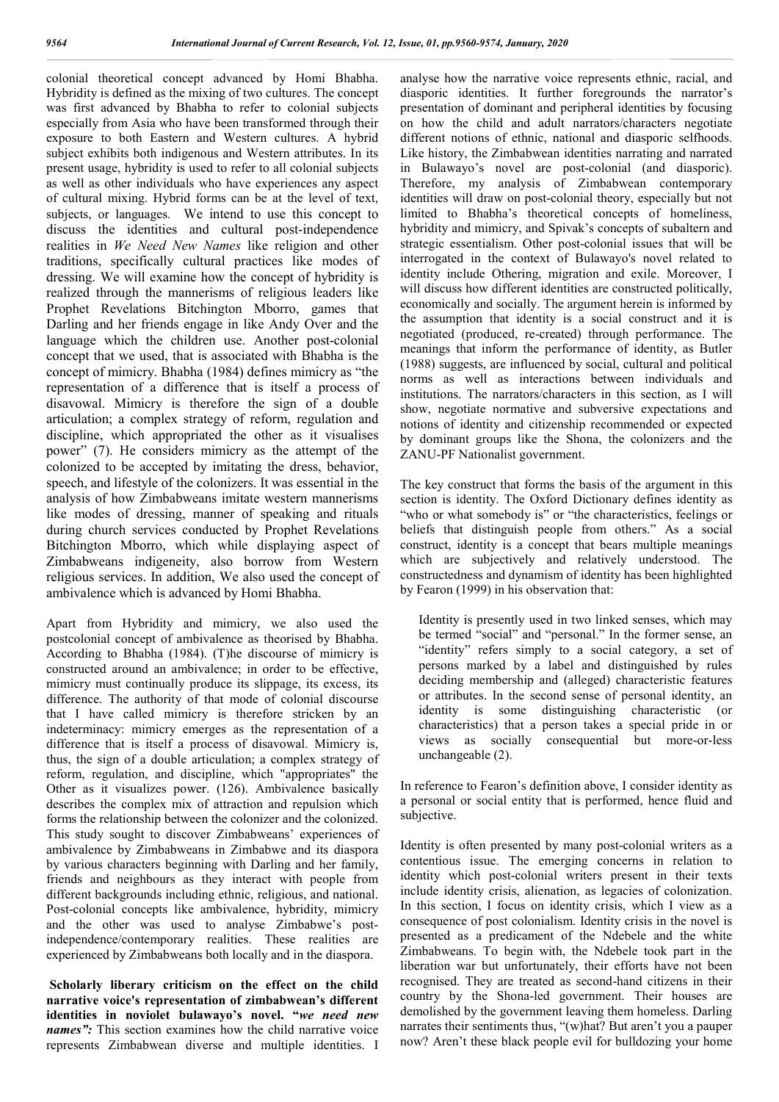colonial theoretical concept advanced by Homi Bhabha. Hybridity is defined as the mixing of two cultures. The concept was first advanced by Bhabha to refer to colonial subjects especially from Asia who have been transformed through their exposure to both Eastern and Western cultures. A hybrid subject exhibits both indigenous and Western attributes. In its present usage, hybridity is used to refer to all colonial subjects as well as other individuals who have experiences any aspect of cultural mixing. Hybrid forms can be at the level of text, subjects, or languages. We intend to use this concept to discuss the identities and cultural post-independence realities in *We Need New Names* like religion and other traditions, specifically cultural practices like modes of dressing. We will examine how the concept of hybridity is realized through the mannerisms of religious leaders like Prophet Revelations Bitchington Mborro, games that Darling and her friends engage in like Andy Over and the language which the children use. Another post-colonial concept that we used, that is associated with Bhabha is the concept of mimicry. Bhabha (1984) defines mimicry as "the representation of a difference that is itself a process of disavowal. Mimicry is therefore the sign of a double articulation; a complex strategy of reform, regulation and discipline, which appropriated the other as it visualises power" (7). He considers mimicry as the attempt of the colonized to be accepted by imitating the dress, behavior, speech, and lifestyle of the colonizers. It was essential in the analysis of how Zimbabweans imitate western mannerisms like modes of dressing, manner of speaking and rituals during church services conducted by Prophet Revelations Bitchington Mborro, which while displaying aspect of Zimbabweans indigeneity, also borrow from Western religious services. In addition, We also used the concept of ambivalence which is advanced by Homi Bhabha.

Apart from Hybridity and mimicry, we also used the postcolonial concept of ambivalence as theorised by Bhabha. According to Bhabha (1984). (T)he discourse of mimicry is constructed around an ambivalence; in order to be effective, mimicry must continually produce its slippage, its excess, its difference. The authority of that mode of colonial discourse that I have called mimicry is therefore stricken by an indeterminacy: mimicry emerges as the representation of a difference that is itself a process of disavowal. Mimicry is, thus, the sign of a double articulation; a complex strategy of reform, regulation, and discipline, which "appropriates" the Other as it visualizes power. (126). Ambivalence basically describes the complex mix of attraction and repulsion which forms the relationship between the colonizer and the colonized. This study sought to discover Zimbabweans' experiences of ambivalence by Zimbabweans in Zimbabwe and its diaspora by various characters beginning with Darling and her family, friends and neighbours as they interact with people from different backgrounds including ethnic, religious, and national. Post-colonial concepts like ambivalence, hybridity, mimicry and the other was used to analyse Zimbabwe's postindependence/contemporary realities. These realities are experienced by Zimbabweans both locally and in the diaspora.

**Scholarly liberary criticism on the effect on the child narrative voice's representation of zimbabwean's different identities in noviolet bulawayo's novel. "***we need new names":* This section examines how the child narrative voice represents Zimbabwean diverse and multiple identities. I

analyse how the narrative voice represents ethnic, racial, and diasporic identities. It further foregrounds the narrator's presentation of dominant and peripheral identities by focusing on how the child and adult narrators/characters negotiate different notions of ethnic, national and diasporic selfhoods. Like history, the Zimbabwean identities narrating and narrated in Bulawayo's novel are post-colonial (and diasporic). Therefore, my analysis of Zimbabwean contemporary identities will draw on post-colonial theory, especially but not limited to Bhabha's theoretical concepts of homeliness, hybridity and mimicry, and Spivak's concepts of subaltern and strategic essentialism. Other post-colonial issues that will be interrogated in the context of Bulawayo's novel related to identity include Othering, migration and exile. Moreover, I will discuss how different identities are constructed politically, economically and socially. The argument herein is informed by the assumption that identity is a social construct and it is negotiated (produced, re-created) through performance. The meanings that inform the performance of identity, as Butler (1988) suggests, are influenced by social, cultural and political norms as well as interactions between individuals and institutions. The narrators/characters in this section, as I will show, negotiate normative and subversive expectations and notions of identity and citizenship recommended or expected by dominant groups like the Shona, the colonizers and the ZANU-PF Nationalist government.

The key construct that forms the basis of the argument in this section is identity. The Oxford Dictionary defines identity as "who or what somebody is" or "the characteristics, feelings or beliefs that distinguish people from others." As a social construct, identity is a concept that bears multiple meanings which are subjectively and relatively understood. The constructedness and dynamism of identity has been highlighted by Fearon (1999) in his observation that:

Identity is presently used in two linked senses, which may be termed "social" and "personal." In the former sense, an "identity" refers simply to a social category, a set of persons marked by a label and distinguished by rules deciding membership and (alleged) characteristic features or attributes. In the second sense of personal identity, an identity is some distinguishing characteristic (or characteristics) that a person takes a special pride in or views as socially consequential but more-or-less unchangeable (2).

In reference to Fearon's definition above, I consider identity as a personal or social entity that is performed, hence fluid and subjective.

Identity is often presented by many post-colonial writers as a contentious issue. The emerging concerns in relation to identity which post-colonial writers present in their texts include identity crisis, alienation, as legacies of colonization. In this section, I focus on identity crisis, which I view as a consequence of post colonialism. Identity crisis in the novel is presented as a predicament of the Ndebele and the white Zimbabweans. To begin with, the Ndebele took part in the liberation war but unfortunately, their efforts have not been recognised. They are treated as second-hand citizens in their country by the Shona-led government. Their houses are demolished by the government leaving them homeless. Darling narrates their sentiments thus, "(w)hat? But aren't you a pauper now? Aren't these black people evil for bulldozing your home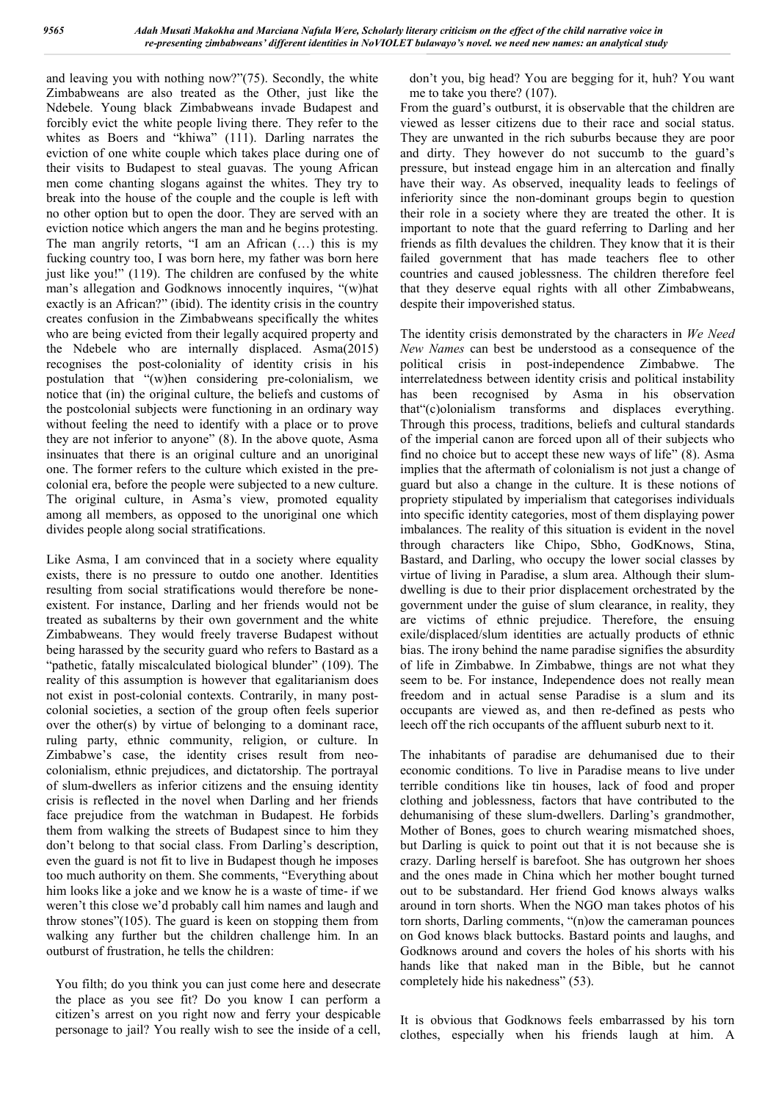and leaving you with nothing now?"(75). Secondly, the white Zimbabweans are also treated as the Other, just like the Ndebele. Young black Zimbabweans invade Budapest and forcibly evict the white people living there. They refer to the whites as Boers and "khiwa" (111). Darling narrates the eviction of one white couple which takes place during one of their visits to Budapest to steal guavas. The young African men come chanting slogans against the whites. They try to break into the house of the couple and the couple is left with no other option but to open the door. They are served with an eviction notice which angers the man and he begins protesting. The man angrily retorts, "I am an African (…) this is my fucking country too, I was born here, my father was born here just like you!" (119). The children are confused by the white man's allegation and Godknows innocently inquires, "(w)hat exactly is an African?" (ibid). The identity crisis in the country creates confusion in the Zimbabweans specifically the whites who are being evicted from their legally acquired property and the Ndebele who are internally displaced. Asma(2015) recognises the post-coloniality of identity crisis in his postulation that "(w)hen considering pre-colonialism, we notice that (in) the original culture, the beliefs and customs of the postcolonial subjects were functioning in an ordinary way without feeling the need to identify with a place or to prove they are not inferior to anyone" (8). In the above quote, Asma insinuates that there is an original culture and an unoriginal one. The former refers to the culture which existed in the precolonial era, before the people were subjected to a new culture. The original culture, in Asma's view, promoted equality among all members, as opposed to the unoriginal one which divides people along social stratifications.

Like Asma, I am convinced that in a society where equality exists, there is no pressure to outdo one another. Identities resulting from social stratifications would therefore be noneexistent. For instance, Darling and her friends would not be treated as subalterns by their own government and the white Zimbabweans. They would freely traverse Budapest without being harassed by the security guard who refers to Bastard as a "pathetic, fatally miscalculated biological blunder" (109). The reality of this assumption is however that egalitarianism does not exist in post-colonial contexts. Contrarily, in many postcolonial societies, a section of the group often feels superior over the other(s) by virtue of belonging to a dominant race, ruling party, ethnic community, religion, or culture. In Zimbabwe's case, the identity crises result from neocolonialism, ethnic prejudices, and dictatorship. The portrayal of slum-dwellers as inferior citizens and the ensuing identity crisis is reflected in the novel when Darling and her friends face prejudice from the watchman in Budapest. He forbids them from walking the streets of Budapest since to him they don't belong to that social class. From Darling's description, even the guard is not fit to live in Budapest though he imposes too much authority on them. She comments, "Everything about him looks like a joke and we know he is a waste of time- if we weren't this close we'd probably call him names and laugh and throw stones"(105). The guard is keen on stopping them from walking any further but the children challenge him. In an outburst of frustration, he tells the children:

You filth; do you think you can just come here and desecrate the place as you see fit? Do you know I can perform a citizen's arrest on you right now and ferry your despicable personage to jail? You really wish to see the inside of a cell, don't you, big head? You are begging for it, huh? You want me to take you there? (107).

From the guard's outburst, it is observable that the children are viewed as lesser citizens due to their race and social status. They are unwanted in the rich suburbs because they are poor and dirty. They however do not succumb to the guard's pressure, but instead engage him in an altercation and finally have their way. As observed, inequality leads to feelings of inferiority since the non-dominant groups begin to question their role in a society where they are treated the other. It is important to note that the guard referring to Darling and her friends as filth devalues the children. They know that it is their failed government that has made teachers flee to other countries and caused joblessness. The children therefore feel that they deserve equal rights with all other Zimbabweans, despite their impoverished status.

The identity crisis demonstrated by the characters in *We Need New Names* can best be understood as a consequence of the political crisis in post-independence Zimbabwe. The interrelatedness between identity crisis and political instability has been recognised by Asma in his observation that"(c)olonialism transforms and displaces everything. Through this process, traditions, beliefs and cultural standards of the imperial canon are forced upon all of their subjects who find no choice but to accept these new ways of life" (8). Asma implies that the aftermath of colonialism is not just a change of guard but also a change in the culture. It is these notions of propriety stipulated by imperialism that categorises individuals into specific identity categories, most of them displaying power imbalances. The reality of this situation is evident in the novel through characters like Chipo, Sbho, GodKnows, Stina, Bastard, and Darling, who occupy the lower social classes by virtue of living in Paradise, a slum area. Although their slumdwelling is due to their prior displacement orchestrated by the government under the guise of slum clearance, in reality, they are victims of ethnic prejudice. Therefore, the ensuing exile/displaced/slum identities are actually products of ethnic bias. The irony behind the name paradise signifies the absurdity of life in Zimbabwe. In Zimbabwe, things are not what they seem to be. For instance, Independence does not really mean freedom and in actual sense Paradise is a slum and its occupants are viewed as, and then re-defined as pests who leech off the rich occupants of the affluent suburb next to it.

The inhabitants of paradise are dehumanised due to their economic conditions. To live in Paradise means to live under terrible conditions like tin houses, lack of food and proper clothing and joblessness, factors that have contributed to the dehumanising of these slum-dwellers. Darling's grandmother, Mother of Bones, goes to church wearing mismatched shoes, but Darling is quick to point out that it is not because she is crazy. Darling herself is barefoot. She has outgrown her shoes and the ones made in China which her mother bought turned out to be substandard. Her friend God knows always walks around in torn shorts. When the NGO man takes photos of his torn shorts, Darling comments, "(n)ow the cameraman pounces on God knows black buttocks. Bastard points and laughs, and Godknows around and covers the holes of his shorts with his hands like that naked man in the Bible, but he cannot completely hide his nakedness" (53).

It is obvious that Godknows feels embarrassed by his torn clothes, especially when his friends laugh at him. A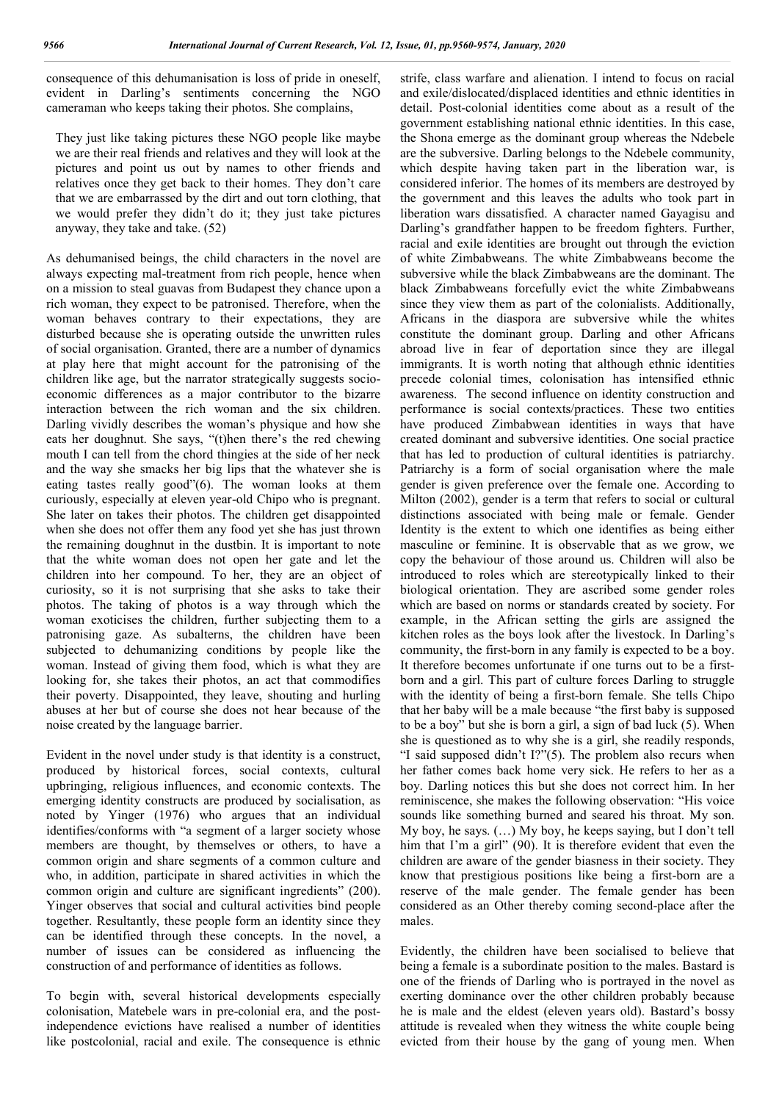consequence of this dehumanisation is loss of pride in oneself, evident in Darling's sentiments concerning the NGO cameraman who keeps taking their photos. She complains,

They just like taking pictures these NGO people like maybe we are their real friends and relatives and they will look at the pictures and point us out by names to other friends and relatives once they get back to their homes. They don't care that we are embarrassed by the dirt and out torn clothing, that we would prefer they didn't do it; they just take pictures anyway, they take and take. (52)

As dehumanised beings, the child characters in the novel are always expecting mal-treatment from rich people, hence when on a mission to steal guavas from Budapest they chance upon a rich woman, they expect to be patronised. Therefore, when the woman behaves contrary to their expectations, they are disturbed because she is operating outside the unwritten rules of social organisation. Granted, there are a number of dynamics at play here that might account for the patronising of the children like age, but the narrator strategically suggests socioeconomic differences as a major contributor to the bizarre interaction between the rich woman and the six children. Darling vividly describes the woman's physique and how she eats her doughnut. She says, "(t)hen there's the red chewing mouth I can tell from the chord thingies at the side of her neck and the way she smacks her big lips that the whatever she is eating tastes really good"(6). The woman looks at them curiously, especially at eleven year-old Chipo who is pregnant. She later on takes their photos. The children get disappointed when she does not offer them any food yet she has just thrown the remaining doughnut in the dustbin. It is important to note that the white woman does not open her gate and let the children into her compound. To her, they are an object of curiosity, so it is not surprising that she asks to take their photos. The taking of photos is a way through which the woman exoticises the children, further subjecting them to a patronising gaze. As subalterns, the children have been subjected to dehumanizing conditions by people like the woman. Instead of giving them food, which is what they are looking for, she takes their photos, an act that commodifies their poverty. Disappointed, they leave, shouting and hurling abuses at her but of course she does not hear because of the noise created by the language barrier.

Evident in the novel under study is that identity is a construct, produced by historical forces, social contexts, cultural upbringing, religious influences, and economic contexts. The emerging identity constructs are produced by socialisation, as noted by Yinger (1976) who argues that an individual identifies/conforms with "a segment of a larger society whose members are thought, by themselves or others, to have a common origin and share segments of a common culture and who, in addition, participate in shared activities in which the common origin and culture are significant ingredients" (200). Yinger observes that social and cultural activities bind people together. Resultantly, these people form an identity since they can be identified through these concepts. In the novel, a number of issues can be considered as influencing the construction of and performance of identities as follows.

To begin with, several historical developments especially colonisation, Matebele wars in pre-colonial era, and the postindependence evictions have realised a number of identities like postcolonial, racial and exile. The consequence is ethnic strife, class warfare and alienation. I intend to focus on racial and exile/dislocated/displaced identities and ethnic identities in detail. Post-colonial identities come about as a result of the government establishing national ethnic identities. In this case, the Shona emerge as the dominant group whereas the Ndebele are the subversive. Darling belongs to the Ndebele community, which despite having taken part in the liberation war, is considered inferior. The homes of its members are destroyed by the government and this leaves the adults who took part in liberation wars dissatisfied. A character named Gayagisu and Darling's grandfather happen to be freedom fighters. Further, racial and exile identities are brought out through the eviction of white Zimbabweans. The white Zimbabweans become the subversive while the black Zimbabweans are the dominant. The black Zimbabweans forcefully evict the white Zimbabweans since they view them as part of the colonialists. Additionally, Africans in the diaspora are subversive while the whites constitute the dominant group. Darling and other Africans abroad live in fear of deportation since they are illegal immigrants. It is worth noting that although ethnic identities precede colonial times, colonisation has intensified ethnic awareness. The second influence on identity construction and performance is social contexts/practices. These two entities have produced Zimbabwean identities in ways that have created dominant and subversive identities. One social practice that has led to production of cultural identities is patriarchy. Patriarchy is a form of social organisation where the male gender is given preference over the female one. According to Milton (2002), gender is a term that refers to social or cultural distinctions associated with being male or female. Gender Identity is the extent to which one identifies as being either masculine or feminine. It is observable that as we grow, we copy the behaviour of those around us. Children will also be introduced to roles which are stereotypically linked to their biological orientation. They are ascribed some gender roles which are based on norms or standards created by society. For example, in the African setting the girls are assigned the kitchen roles as the boys look after the livestock. In Darling's community, the first-born in any family is expected to be a boy. It therefore becomes unfortunate if one turns out to be a firstborn and a girl. This part of culture forces Darling to struggle with the identity of being a first-born female. She tells Chipo that her baby will be a male because "the first baby is supposed to be a boy" but she is born a girl, a sign of bad luck (5). When she is questioned as to why she is a girl, she readily responds, "I said supposed didn't I?"(5). The problem also recurs when her father comes back home very sick. He refers to her as a boy. Darling notices this but she does not correct him. In her reminiscence, she makes the following observation: "His voice sounds like something burned and seared his throat. My son. My boy, he says. (…) My boy, he keeps saying, but I don't tell him that I'm a girl" (90). It is therefore evident that even the children are aware of the gender biasness in their society. They know that prestigious positions like being a first-born are a reserve of the male gender. The female gender has been considered as an Other thereby coming second-place after the males.

Evidently, the children have been socialised to believe that being a female is a subordinate position to the males. Bastard is one of the friends of Darling who is portrayed in the novel as exerting dominance over the other children probably because he is male and the eldest (eleven years old). Bastard's bossy attitude is revealed when they witness the white couple being evicted from their house by the gang of young men. When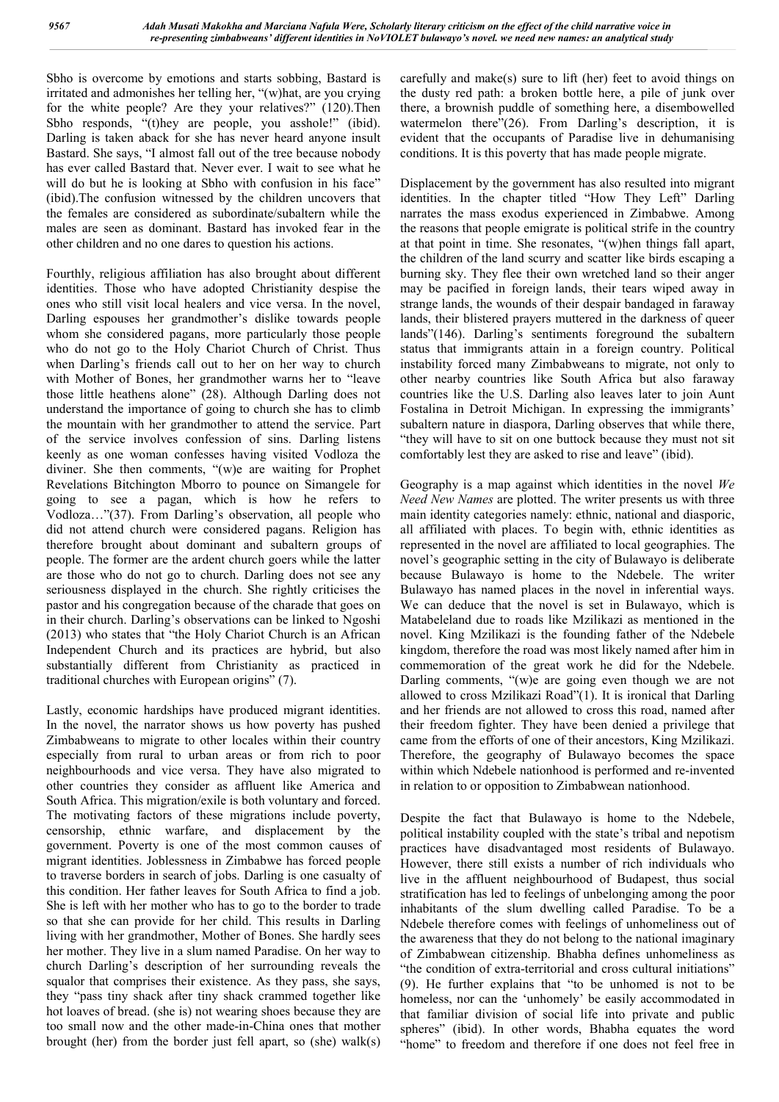Sbho is overcome by emotions and starts sobbing, Bastard is irritated and admonishes her telling her, "(w)hat, are you crying for the white people? Are they your relatives?" (120).Then Sbho responds, "(t)hey are people, you asshole!" (ibid). Darling is taken aback for she has never heard anyone insult Bastard. She says, "I almost fall out of the tree because nobody has ever called Bastard that. Never ever. I wait to see what he will do but he is looking at Sbho with confusion in his face" (ibid).The confusion witnessed by the children uncovers that the females are considered as subordinate/subaltern while the males are seen as dominant. Bastard has invoked fear in the other children and no one dares to question his actions.

Fourthly, religious affiliation has also brought about different identities. Those who have adopted Christianity despise the ones who still visit local healers and vice versa. In the novel, Darling espouses her grandmother's dislike towards people whom she considered pagans, more particularly those people who do not go to the Holy Chariot Church of Christ. Thus when Darling's friends call out to her on her way to church with Mother of Bones, her grandmother warns her to "leave those little heathens alone" (28). Although Darling does not understand the importance of going to church she has to climb the mountain with her grandmother to attend the service. Part of the service involves confession of sins. Darling listens keenly as one woman confesses having visited Vodloza the diviner. She then comments, "(w)e are waiting for Prophet Revelations Bitchington Mborro to pounce on Simangele for going to see a pagan, which is how he refers to Vodloza…"(37). From Darling's observation, all people who did not attend church were considered pagans. Religion has therefore brought about dominant and subaltern groups of people. The former are the ardent church goers while the latter are those who do not go to church. Darling does not see any seriousness displayed in the church. She rightly criticises the pastor and his congregation because of the charade that goes on in their church. Darling's observations can be linked to Ngoshi (2013) who states that "the Holy Chariot Church is an African Independent Church and its practices are hybrid, but also substantially different from Christianity as practiced in traditional churches with European origins" (7).

Lastly, economic hardships have produced migrant identities. In the novel, the narrator shows us how poverty has pushed Zimbabweans to migrate to other locales within their country especially from rural to urban areas or from rich to poor neighbourhoods and vice versa. They have also migrated to other countries they consider as affluent like America and South Africa. This migration/exile is both voluntary and forced. The motivating factors of these migrations include poverty, censorship, ethnic warfare, and displacement by the government. Poverty is one of the most common causes of migrant identities. Joblessness in Zimbabwe has forced people to traverse borders in search of jobs. Darling is one casualty of this condition. Her father leaves for South Africa to find a job. She is left with her mother who has to go to the border to trade so that she can provide for her child. This results in Darling living with her grandmother, Mother of Bones. She hardly sees her mother. They live in a slum named Paradise. On her way to church Darling's description of her surrounding reveals the squalor that comprises their existence. As they pass, she says, they "pass tiny shack after tiny shack crammed together like hot loaves of bread. (she is) not wearing shoes because they are too small now and the other made-in-China ones that mother brought (her) from the border just fell apart, so (she) walk(s)

carefully and make(s) sure to lift (her) feet to avoid things on the dusty red path: a broken bottle here, a pile of junk over there, a brownish puddle of something here, a disembowelled watermelon there"(26). From Darling's description, it is evident that the occupants of Paradise live in dehumanising conditions. It is this poverty that has made people migrate.

Displacement by the government has also resulted into migrant identities. In the chapter titled "How They Left" Darling narrates the mass exodus experienced in Zimbabwe. Among the reasons that people emigrate is political strife in the country at that point in time. She resonates, "(w)hen things fall apart, the children of the land scurry and scatter like birds escaping a burning sky. They flee their own wretched land so their anger may be pacified in foreign lands, their tears wiped away in strange lands, the wounds of their despair bandaged in faraway lands, their blistered prayers muttered in the darkness of queer lands"(146). Darling's sentiments foreground the subaltern status that immigrants attain in a foreign country. Political instability forced many Zimbabweans to migrate, not only to other nearby countries like South Africa but also faraway countries like the U.S. Darling also leaves later to join Aunt Fostalina in Detroit Michigan. In expressing the immigrants' subaltern nature in diaspora, Darling observes that while there, "they will have to sit on one buttock because they must not sit comfortably lest they are asked to rise and leave" (ibid).

Geography is a map against which identities in the novel *We Need New Names* are plotted. The writer presents us with three main identity categories namely: ethnic, national and diasporic, all affiliated with places. To begin with, ethnic identities as represented in the novel are affiliated to local geographies. The novel's geographic setting in the city of Bulawayo is deliberate because Bulawayo is home to the Ndebele. The writer Bulawayo has named places in the novel in inferential ways. We can deduce that the novel is set in Bulawayo, which is Matabeleland due to roads like Mzilikazi as mentioned in the novel. King Mzilikazi is the founding father of the Ndebele kingdom, therefore the road was most likely named after him in commemoration of the great work he did for the Ndebele. Darling comments, "(w)e are going even though we are not allowed to cross Mzilikazi Road"(1). It is ironical that Darling and her friends are not allowed to cross this road, named after their freedom fighter. They have been denied a privilege that came from the efforts of one of their ancestors, King Mzilikazi. Therefore, the geography of Bulawayo becomes the space within which Ndebele nationhood is performed and re-invented in relation to or opposition to Zimbabwean nationhood.

Despite the fact that Bulawayo is home to the Ndebele, political instability coupled with the state's tribal and nepotism practices have disadvantaged most residents of Bulawayo. However, there still exists a number of rich individuals who live in the affluent neighbourhood of Budapest, thus social stratification has led to feelings of unbelonging among the poor inhabitants of the slum dwelling called Paradise. To be a Ndebele therefore comes with feelings of unhomeliness out of the awareness that they do not belong to the national imaginary of Zimbabwean citizenship. Bhabha defines unhomeliness as "the condition of extra-territorial and cross cultural initiations" (9). He further explains that "to be unhomed is not to be homeless, nor can the 'unhomely' be easily accommodated in that familiar division of social life into private and public spheres" (ibid). In other words, Bhabha equates the word "home" to freedom and therefore if one does not feel free in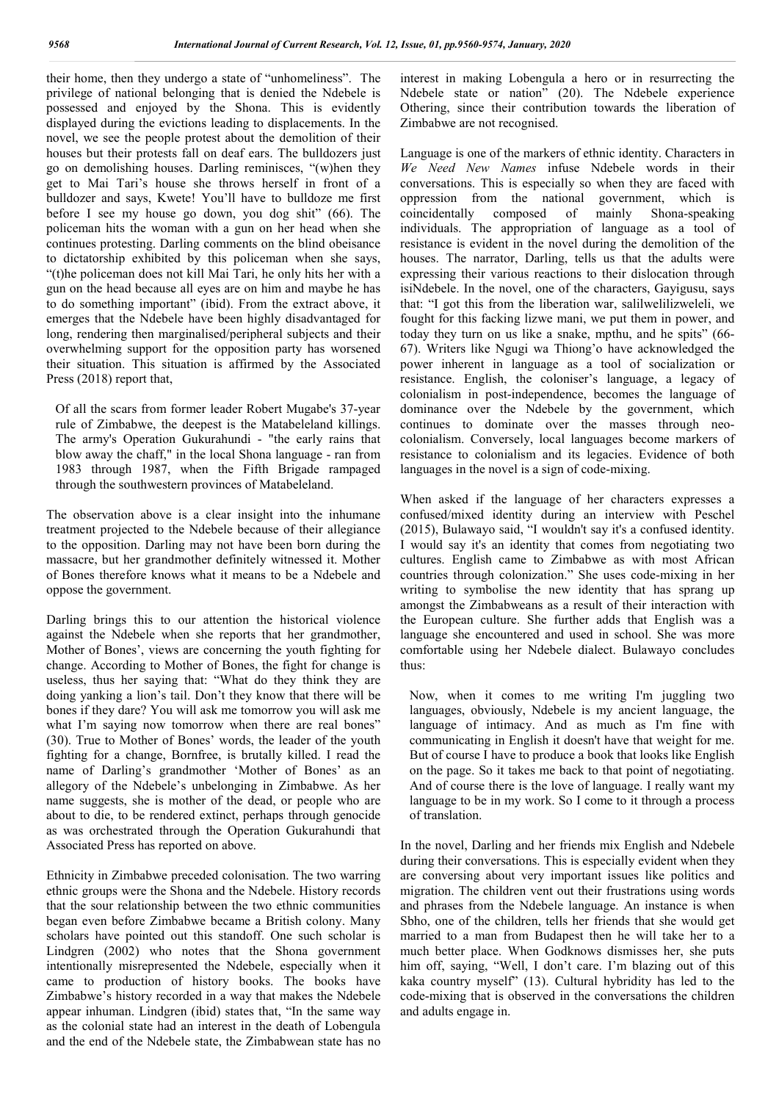their home, then they undergo a state of "unhomeliness". The privilege of national belonging that is denied the Ndebele is possessed and enjoyed by the Shona. This is evidently displayed during the evictions leading to displacements. In the novel, we see the people protest about the demolition of their houses but their protests fall on deaf ears. The bulldozers just go on demolishing houses. Darling reminisces, "(w)hen they get to Mai Tari's house she throws herself in front of a bulldozer and says, Kwete! You'll have to bulldoze me first before I see my house go down, you dog shit" (66). The policeman hits the woman with a gun on her head when she continues protesting. Darling comments on the blind obeisance to dictatorship exhibited by this policeman when she says, "(t)he policeman does not kill Mai Tari, he only hits her with a gun on the head because all eyes are on him and maybe he has to do something important" (ibid). From the extract above, it emerges that the Ndebele have been highly disadvantaged for long, rendering then marginalised/peripheral subjects and their overwhelming support for the opposition party has worsened their situation. This situation is affirmed by the Associated Press (2018) report that,

Of all the scars from former leader Robert Mugabe's 37-year rule of Zimbabwe, the deepest is the Matabeleland killings. The army's Operation Gukurahundi - "the early rains that blow away the chaff," in the local Shona language - ran from 1983 through 1987, when the Fifth Brigade rampaged through the southwestern provinces of Matabeleland.

The observation above is a clear insight into the inhumane treatment projected to the Ndebele because of their allegiance to the opposition. Darling may not have been born during the massacre, but her grandmother definitely witnessed it. Mother of Bones therefore knows what it means to be a Ndebele and oppose the government.

Darling brings this to our attention the historical violence against the Ndebele when she reports that her grandmother, Mother of Bones', views are concerning the youth fighting for change. According to Mother of Bones, the fight for change is useless, thus her saying that: "What do they think they are doing yanking a lion's tail. Don't they know that there will be bones if they dare? You will ask me tomorrow you will ask me what I'm saying now tomorrow when there are real bones" (30). True to Mother of Bones' words, the leader of the youth fighting for a change, Bornfree, is brutally killed. I read the name of Darling's grandmother 'Mother of Bones' as an allegory of the Ndebele's unbelonging in Zimbabwe. As her name suggests, she is mother of the dead, or people who are about to die, to be rendered extinct, perhaps through genocide as was orchestrated through the Operation Gukurahundi that Associated Press has reported on above.

Ethnicity in Zimbabwe preceded colonisation. The two warring ethnic groups were the Shona and the Ndebele. History records that the sour relationship between the two ethnic communities began even before Zimbabwe became a British colony. Many scholars have pointed out this standoff. One such scholar is Lindgren (2002) who notes that the Shona government intentionally misrepresented the Ndebele, especially when it came to production of history books. The books have Zimbabwe's history recorded in a way that makes the Ndebele appear inhuman. Lindgren (ibid) states that, "In the same way as the colonial state had an interest in the death of Lobengula and the end of the Ndebele state, the Zimbabwean state has no

interest in making Lobengula a hero or in resurrecting the Ndebele state or nation" (20). The Ndebele experience Othering, since their contribution towards the liberation of Zimbabwe are not recognised.

Language is one of the markers of ethnic identity. Characters in *We Need New Names* infuse Ndebele words in their conversations. This is especially so when they are faced with oppression from the national government, which is coincidentally composed of mainly Shona-speaking individuals. The appropriation of language as a tool of resistance is evident in the novel during the demolition of the houses. The narrator, Darling, tells us that the adults were expressing their various reactions to their dislocation through isiNdebele. In the novel, one of the characters, Gayigusu, says that: "I got this from the liberation war, salilwelilizweleli, we fought for this facking lizwe mani, we put them in power, and today they turn on us like a snake, mpthu, and he spits" (66- 67). Writers like Ngugi wa Thiong'o have acknowledged the power inherent in language as a tool of socialization or resistance. English, the coloniser's language, a legacy of colonialism in post-independence, becomes the language of dominance over the Ndebele by the government, which continues to dominate over the masses through neocolonialism. Conversely, local languages become markers of resistance to colonialism and its legacies. Evidence of both languages in the novel is a sign of code-mixing.

When asked if the language of her characters expresses a confused/mixed identity during an interview with Peschel (2015), Bulawayo said, "I wouldn't say it's a confused identity. I would say it's an identity that comes from negotiating two cultures. English came to Zimbabwe as with most African countries through colonization." She uses code-mixing in her writing to symbolise the new identity that has sprang up amongst the Zimbabweans as a result of their interaction with the European culture. She further adds that English was a language she encountered and used in school. She was more comfortable using her Ndebele dialect. Bulawayo concludes thus:

Now, when it comes to me writing I'm juggling two languages, obviously, Ndebele is my ancient language, the language of intimacy. And as much as I'm fine with communicating in English it doesn't have that weight for me. But of course I have to produce a book that looks like English on the page. So it takes me back to that point of negotiating. And of course there is the love of language. I really want my language to be in my work. So I come to it through a process of translation.

In the novel, Darling and her friends mix English and Ndebele during their conversations. This is especially evident when they are conversing about very important issues like politics and migration. The children vent out their frustrations using words and phrases from the Ndebele language. An instance is when Sbho, one of the children, tells her friends that she would get married to a man from Budapest then he will take her to a much better place. When Godknows dismisses her, she puts him off, saying, "Well, I don't care. I'm blazing out of this kaka country myself" (13). Cultural hybridity has led to the code-mixing that is observed in the conversations the children and adults engage in.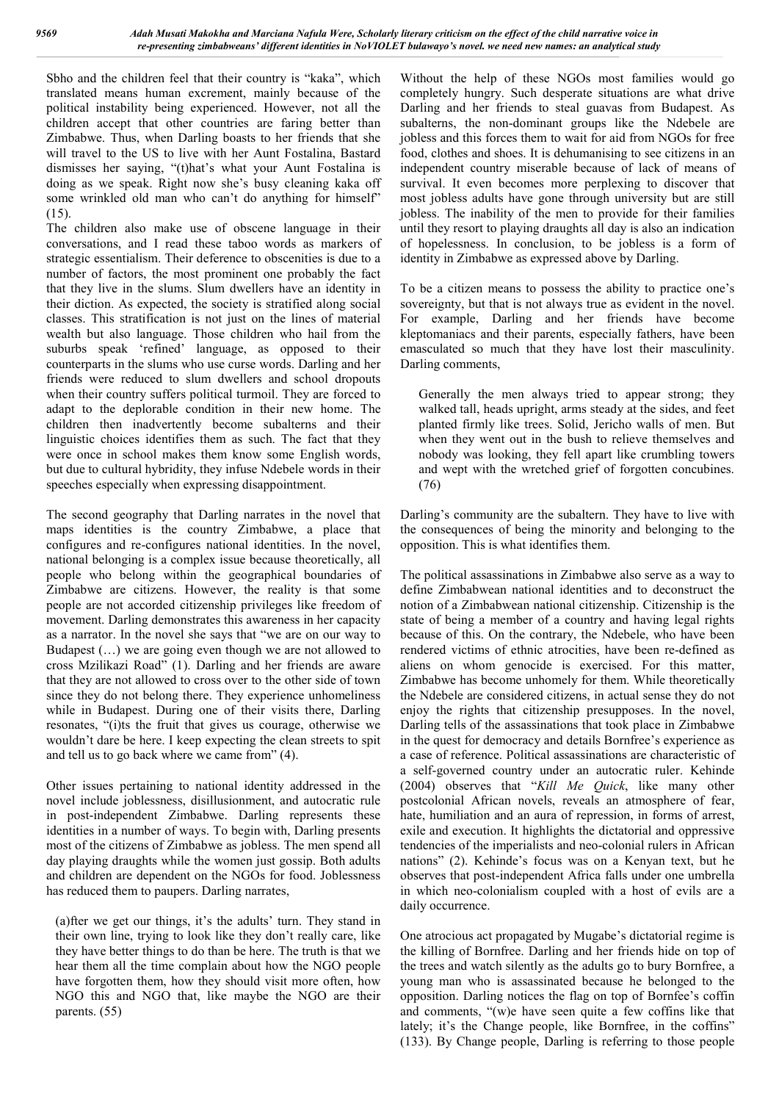Sbho and the children feel that their country is "kaka", which translated means human excrement, mainly because of the political instability being experienced. However, not all the children accept that other countries are faring better than Zimbabwe. Thus, when Darling boasts to her friends that she will travel to the US to live with her Aunt Fostalina, Bastard dismisses her saying, "(t)hat's what your Aunt Fostalina is doing as we speak. Right now she's busy cleaning kaka off some wrinkled old man who can't do anything for himself" (15).

The children also make use of obscene language in their conversations, and I read these taboo words as markers of strategic essentialism. Their deference to obscenities is due to a number of factors, the most prominent one probably the fact that they live in the slums. Slum dwellers have an identity in their diction. As expected, the society is stratified along social classes. This stratification is not just on the lines of material wealth but also language. Those children who hail from the suburbs speak 'refined' language, as opposed to their counterparts in the slums who use curse words. Darling and her friends were reduced to slum dwellers and school dropouts when their country suffers political turmoil. They are forced to adapt to the deplorable condition in their new home. The children then inadvertently become subalterns and their linguistic choices identifies them as such. The fact that they were once in school makes them know some English words, but due to cultural hybridity, they infuse Ndebele words in their speeches especially when expressing disappointment.

The second geography that Darling narrates in the novel that maps identities is the country Zimbabwe, a place that configures and re-configures national identities. In the novel, national belonging is a complex issue because theoretically, all people who belong within the geographical boundaries of Zimbabwe are citizens. However, the reality is that some people are not accorded citizenship privileges like freedom of movement. Darling demonstrates this awareness in her capacity as a narrator. In the novel she says that "we are on our way to Budapest (…) we are going even though we are not allowed to cross Mzilikazi Road" (1). Darling and her friends are aware that they are not allowed to cross over to the other side of town since they do not belong there. They experience unhomeliness while in Budapest. During one of their visits there, Darling resonates, "(i)ts the fruit that gives us courage, otherwise we wouldn't dare be here. I keep expecting the clean streets to spit and tell us to go back where we came from" (4).

Other issues pertaining to national identity addressed in the novel include joblessness, disillusionment, and autocratic rule in post-independent Zimbabwe. Darling represents these identities in a number of ways. To begin with, Darling presents most of the citizens of Zimbabwe as jobless. The men spend all day playing draughts while the women just gossip. Both adults and children are dependent on the NGOs for food. Joblessness has reduced them to paupers. Darling narrates,

(a)fter we get our things, it's the adults' turn. They stand in their own line, trying to look like they don't really care, like they have better things to do than be here. The truth is that we hear them all the time complain about how the NGO people have forgotten them, how they should visit more often, how NGO this and NGO that, like maybe the NGO are their parents. (55)

Without the help of these NGOs most families would go completely hungry. Such desperate situations are what drive Darling and her friends to steal guavas from Budapest. As subalterns, the non-dominant groups like the Ndebele are jobless and this forces them to wait for aid from NGOs for free food, clothes and shoes. It is dehumanising to see citizens in an independent country miserable because of lack of means of survival. It even becomes more perplexing to discover that most jobless adults have gone through university but are still jobless. The inability of the men to provide for their families until they resort to playing draughts all day is also an indication of hopelessness. In conclusion, to be jobless is a form of identity in Zimbabwe as expressed above by Darling.

To be a citizen means to possess the ability to practice one's sovereignty, but that is not always true as evident in the novel. For example, Darling and her friends have become kleptomaniacs and their parents, especially fathers, have been emasculated so much that they have lost their masculinity. Darling comments,

Generally the men always tried to appear strong; they walked tall, heads upright, arms steady at the sides, and feet planted firmly like trees. Solid, Jericho walls of men. But when they went out in the bush to relieve themselves and nobody was looking, they fell apart like crumbling towers and wept with the wretched grief of forgotten concubines. (76)

Darling's community are the subaltern. They have to live with the consequences of being the minority and belonging to the opposition. This is what identifies them.

The political assassinations in Zimbabwe also serve as a way to define Zimbabwean national identities and to deconstruct the notion of a Zimbabwean national citizenship. Citizenship is the state of being a member of a country and having legal rights because of this. On the contrary, the Ndebele, who have been rendered victims of ethnic atrocities, have been re-defined as aliens on whom genocide is exercised. For this matter, Zimbabwe has become unhomely for them. While theoretically the Ndebele are considered citizens, in actual sense they do not enjoy the rights that citizenship presupposes. In the novel, Darling tells of the assassinations that took place in Zimbabwe in the quest for democracy and details Bornfree's experience as a case of reference. Political assassinations are characteristic of a self-governed country under an autocratic ruler. Kehinde (2004) observes that "*Kill Me Quick*, like many other postcolonial African novels, reveals an atmosphere of fear, hate, humiliation and an aura of repression, in forms of arrest, exile and execution. It highlights the dictatorial and oppressive tendencies of the imperialists and neo-colonial rulers in African nations" (2). Kehinde's focus was on a Kenyan text, but he observes that post-independent Africa falls under one umbrella in which neo-colonialism coupled with a host of evils are a daily occurrence.

One atrocious act propagated by Mugabe's dictatorial regime is the killing of Bornfree. Darling and her friends hide on top of the trees and watch silently as the adults go to bury Bornfree, a young man who is assassinated because he belonged to the opposition. Darling notices the flag on top of Bornfee's coffin and comments, "(w)e have seen quite a few coffins like that lately; it's the Change people, like Bornfree, in the coffins" (133). By Change people, Darling is referring to those people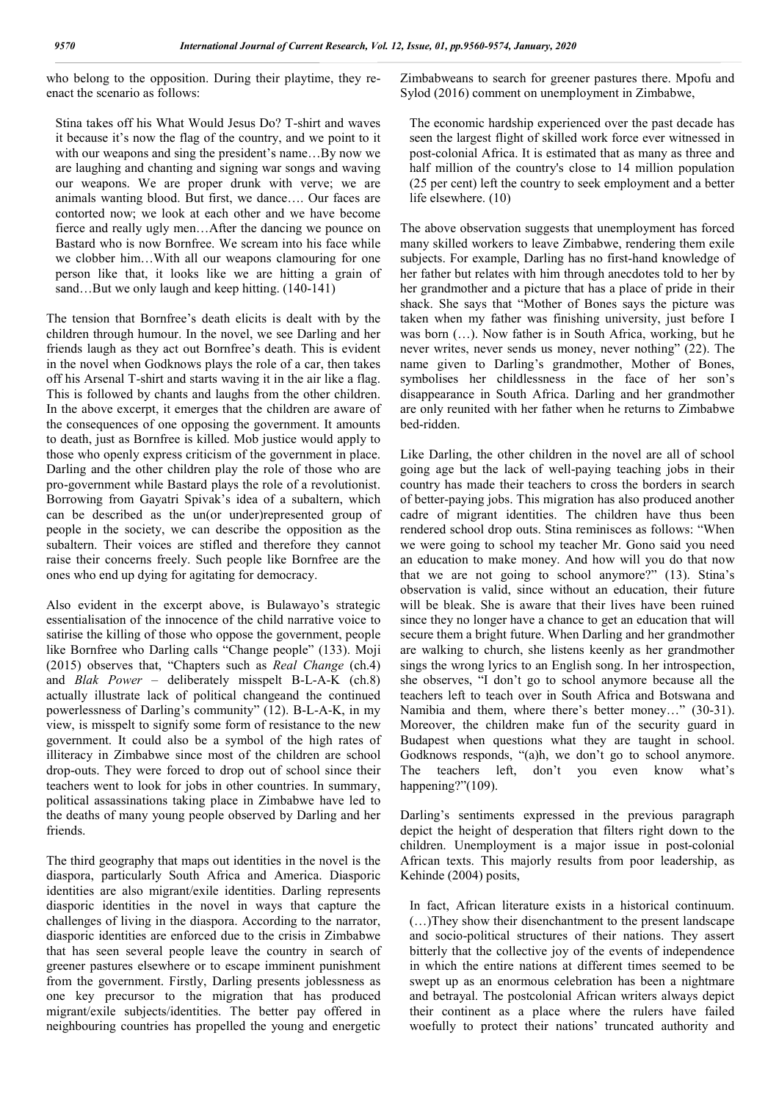who belong to the opposition. During their playtime, they reenact the scenario as follows:

Stina takes off his What Would Jesus Do? T-shirt and waves it because it's now the flag of the country, and we point to it with our weapons and sing the president's name…By now we are laughing and chanting and signing war songs and waving our weapons. We are proper drunk with verve; we are animals wanting blood. But first, we dance…. Our faces are contorted now; we look at each other and we have become fierce and really ugly men…After the dancing we pounce on Bastard who is now Bornfree. We scream into his face while we clobber him…With all our weapons clamouring for one person like that, it looks like we are hitting a grain of sand…But we only laugh and keep hitting. (140-141)

The tension that Bornfree's death elicits is dealt with by the children through humour. In the novel, we see Darling and her friends laugh as they act out Bornfree's death. This is evident in the novel when Godknows plays the role of a car, then takes off his Arsenal T-shirt and starts waving it in the air like a flag. This is followed by chants and laughs from the other children. In the above excerpt, it emerges that the children are aware of the consequences of one opposing the government. It amounts to death, just as Bornfree is killed. Mob justice would apply to those who openly express criticism of the government in place. Darling and the other children play the role of those who are pro-government while Bastard plays the role of a revolutionist. Borrowing from Gayatri Spivak's idea of a subaltern, which can be described as the un(or under)represented group of people in the society, we can describe the opposition as the subaltern. Their voices are stifled and therefore they cannot raise their concerns freely. Such people like Bornfree are the ones who end up dying for agitating for democracy.

Also evident in the excerpt above, is Bulawayo's strategic essentialisation of the innocence of the child narrative voice to satirise the killing of those who oppose the government, people like Bornfree who Darling calls "Change people" (133). Moji (2015) observes that, "Chapters such as *Real Change* (ch.4) and *Blak Power* – deliberately misspelt B-L-A-K (ch.8) actually illustrate lack of political changeand the continued powerlessness of Darling's community" (12). B-L-A-K, in my view, is misspelt to signify some form of resistance to the new government. It could also be a symbol of the high rates of illiteracy in Zimbabwe since most of the children are school drop-outs. They were forced to drop out of school since their teachers went to look for jobs in other countries. In summary, political assassinations taking place in Zimbabwe have led to the deaths of many young people observed by Darling and her friends.

The third geography that maps out identities in the novel is the diaspora, particularly South Africa and America. Diasporic identities are also migrant/exile identities. Darling represents diasporic identities in the novel in ways that capture the challenges of living in the diaspora. According to the narrator, diasporic identities are enforced due to the crisis in Zimbabwe that has seen several people leave the country in search of greener pastures elsewhere or to escape imminent punishment from the government. Firstly, Darling presents joblessness as one key precursor to the migration that has produced migrant/exile subjects/identities. The better pay offered in neighbouring countries has propelled the young and energetic

Zimbabweans to search for greener pastures there. Mpofu and Sylod (2016) comment on unemployment in Zimbabwe,

The economic hardship experienced over the past decade has seen the largest flight of skilled work force ever witnessed in post-colonial Africa. It is estimated that as many as three and half million of the country's close to 14 million population (25 per cent) left the country to seek employment and a better life elsewhere. (10)

The above observation suggests that unemployment has forced many skilled workers to leave Zimbabwe, rendering them exile subjects. For example, Darling has no first-hand knowledge of her father but relates with him through anecdotes told to her by her grandmother and a picture that has a place of pride in their shack. She says that "Mother of Bones says the picture was taken when my father was finishing university, just before I was born (…). Now father is in South Africa, working, but he never writes, never sends us money, never nothing" (22). The name given to Darling's grandmother, Mother of Bones, symbolises her childlessness in the face of her son's disappearance in South Africa. Darling and her grandmother are only reunited with her father when he returns to Zimbabwe bed-ridden.

Like Darling, the other children in the novel are all of school going age but the lack of well-paying teaching jobs in their country has made their teachers to cross the borders in search of better-paying jobs. This migration has also produced another cadre of migrant identities. The children have thus been rendered school drop outs. Stina reminisces as follows: "When we were going to school my teacher Mr. Gono said you need an education to make money. And how will you do that now that we are not going to school anymore?" (13). Stina's observation is valid, since without an education, their future will be bleak. She is aware that their lives have been ruined since they no longer have a chance to get an education that will secure them a bright future. When Darling and her grandmother are walking to church, she listens keenly as her grandmother sings the wrong lyrics to an English song. In her introspection, she observes, "I don't go to school anymore because all the teachers left to teach over in South Africa and Botswana and Namibia and them, where there's better money…" (30-31). Moreover, the children make fun of the security guard in Budapest when questions what they are taught in school. Godknows responds, "(a)h, we don't go to school anymore. The teachers left, don't you even know what's happening?"(109).

Darling's sentiments expressed in the previous paragraph depict the height of desperation that filters right down to the children. Unemployment is a major issue in post-colonial African texts. This majorly results from poor leadership, as Kehinde (2004) posits,

In fact, African literature exists in a historical continuum. (…)They show their disenchantment to the present landscape and socio-political structures of their nations. They assert bitterly that the collective joy of the events of independence in which the entire nations at different times seemed to be swept up as an enormous celebration has been a nightmare and betrayal. The postcolonial African writers always depict their continent as a place where the rulers have failed woefully to protect their nations' truncated authority and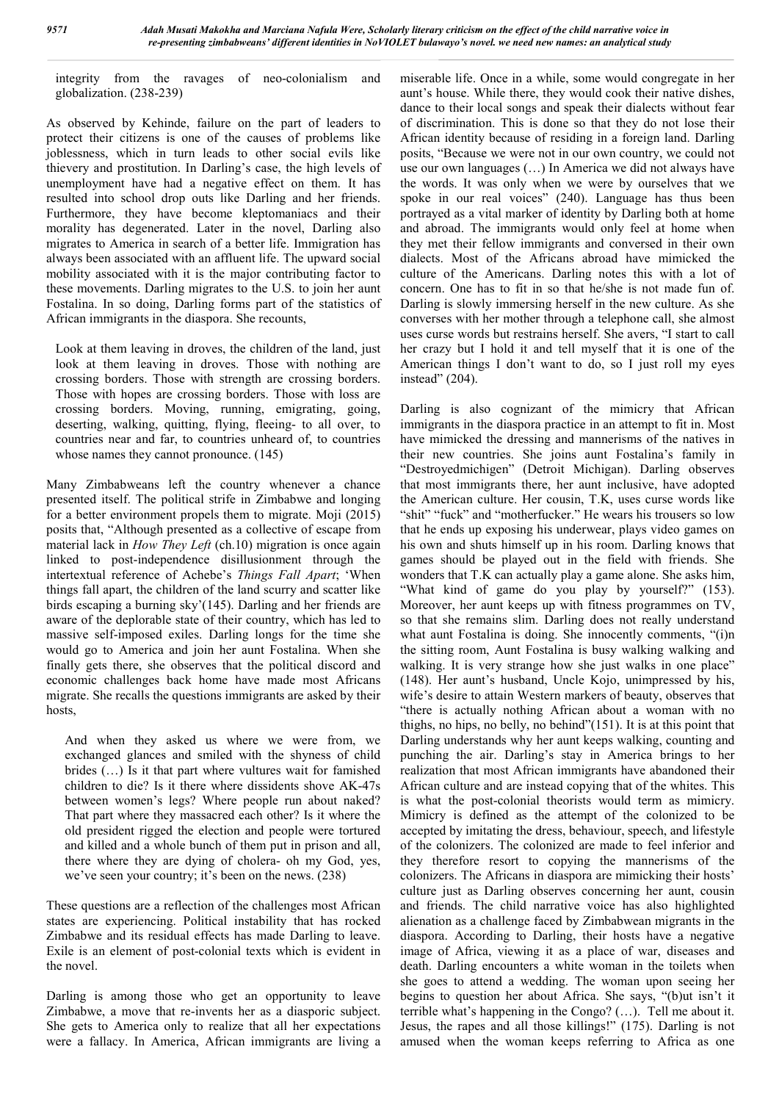integrity from the ravages of neo-colonialism and globalization. (238-239)

As observed by Kehinde, failure on the part of leaders to protect their citizens is one of the causes of problems like joblessness, which in turn leads to other social evils like thievery and prostitution. In Darling's case, the high levels of unemployment have had a negative effect on them. It has resulted into school drop outs like Darling and her friends. Furthermore, they have become kleptomaniacs and their morality has degenerated. Later in the novel, Darling also migrates to America in search of a better life. Immigration has always been associated with an affluent life. The upward social mobility associated with it is the major contributing factor to these movements. Darling migrates to the U.S. to join her aunt Fostalina. In so doing, Darling forms part of the statistics of African immigrants in the diaspora. She recounts,

Look at them leaving in droves, the children of the land, just look at them leaving in droves. Those with nothing are crossing borders. Those with strength are crossing borders. Those with hopes are crossing borders. Those with loss are crossing borders. Moving, running, emigrating, going, deserting, walking, quitting, flying, fleeing- to all over, to countries near and far, to countries unheard of, to countries whose names they cannot pronounce. (145)

Many Zimbabweans left the country whenever a chance presented itself. The political strife in Zimbabwe and longing for a better environment propels them to migrate. Moji (2015) posits that, "Although presented as a collective of escape from material lack in *How They Left* (ch.10) migration is once again linked to post-independence disillusionment through the intertextual reference of Achebe's *Things Fall Apart*; 'When things fall apart, the children of the land scurry and scatter like birds escaping a burning sky'(145). Darling and her friends are aware of the deplorable state of their country, which has led to massive self-imposed exiles. Darling longs for the time she would go to America and join her aunt Fostalina. When she finally gets there, she observes that the political discord and economic challenges back home have made most Africans migrate. She recalls the questions immigrants are asked by their hosts,

And when they asked us where we were from, we exchanged glances and smiled with the shyness of child brides (…) Is it that part where vultures wait for famished children to die? Is it there where dissidents shove AK-47s between women's legs? Where people run about naked? That part where they massacred each other? Is it where the old president rigged the election and people were tortured and killed and a whole bunch of them put in prison and all, there where they are dying of cholera- oh my God, yes, we've seen your country; it's been on the news. (238)

These questions are a reflection of the challenges most African states are experiencing. Political instability that has rocked Zimbabwe and its residual effects has made Darling to leave. Exile is an element of post-colonial texts which is evident in the novel.

Darling is among those who get an opportunity to leave Zimbabwe, a move that re-invents her as a diasporic subject. She gets to America only to realize that all her expectations were a fallacy. In America, African immigrants are living a miserable life. Once in a while, some would congregate in her aunt's house. While there, they would cook their native dishes, dance to their local songs and speak their dialects without fear of discrimination. This is done so that they do not lose their African identity because of residing in a foreign land. Darling posits, "Because we were not in our own country, we could not use our own languages (…) In America we did not always have the words. It was only when we were by ourselves that we spoke in our real voices" (240). Language has thus been portrayed as a vital marker of identity by Darling both at home and abroad. The immigrants would only feel at home when they met their fellow immigrants and conversed in their own dialects. Most of the Africans abroad have mimicked the culture of the Americans. Darling notes this with a lot of concern. One has to fit in so that he/she is not made fun of. Darling is slowly immersing herself in the new culture. As she converses with her mother through a telephone call, she almost uses curse words but restrains herself. She avers, "I start to call her crazy but I hold it and tell myself that it is one of the American things I don't want to do, so I just roll my eyes instead" (204).

Darling is also cognizant of the mimicry that African immigrants in the diaspora practice in an attempt to fit in. Most have mimicked the dressing and mannerisms of the natives in their new countries. She joins aunt Fostalina's family in "Destroyedmichigen" (Detroit Michigan). Darling observes that most immigrants there, her aunt inclusive, have adopted the American culture. Her cousin, T.K, uses curse words like "shit" "fuck" and "motherfucker." He wears his trousers so low that he ends up exposing his underwear, plays video games on his own and shuts himself up in his room. Darling knows that games should be played out in the field with friends. She wonders that T.K can actually play a game alone. She asks him, "What kind of game do you play by yourself?" (153). Moreover, her aunt keeps up with fitness programmes on TV, so that she remains slim. Darling does not really understand what aunt Fostalina is doing. She innocently comments, "(i)n the sitting room, Aunt Fostalina is busy walking walking and walking. It is very strange how she just walks in one place" (148). Her aunt's husband, Uncle Kojo, unimpressed by his, wife's desire to attain Western markers of beauty, observes that "there is actually nothing African about a woman with no thighs, no hips, no belly, no behind"(151). It is at this point that Darling understands why her aunt keeps walking, counting and punching the air. Darling's stay in America brings to her realization that most African immigrants have abandoned their African culture and are instead copying that of the whites. This is what the post-colonial theorists would term as mimicry. Mimicry is defined as the attempt of the colonized to be accepted by imitating the dress, behaviour, speech, and lifestyle of the colonizers. The colonized are made to feel inferior and they therefore resort to copying the mannerisms of the colonizers. The Africans in diaspora are mimicking their hosts' culture just as Darling observes concerning her aunt, cousin and friends. The child narrative voice has also highlighted alienation as a challenge faced by Zimbabwean migrants in the diaspora. According to Darling, their hosts have a negative image of Africa, viewing it as a place of war, diseases and death. Darling encounters a white woman in the toilets when she goes to attend a wedding. The woman upon seeing her begins to question her about Africa. She says, "(b)ut isn't it terrible what's happening in the Congo? (…). Tell me about it. Jesus, the rapes and all those killings!" (175). Darling is not amused when the woman keeps referring to Africa as one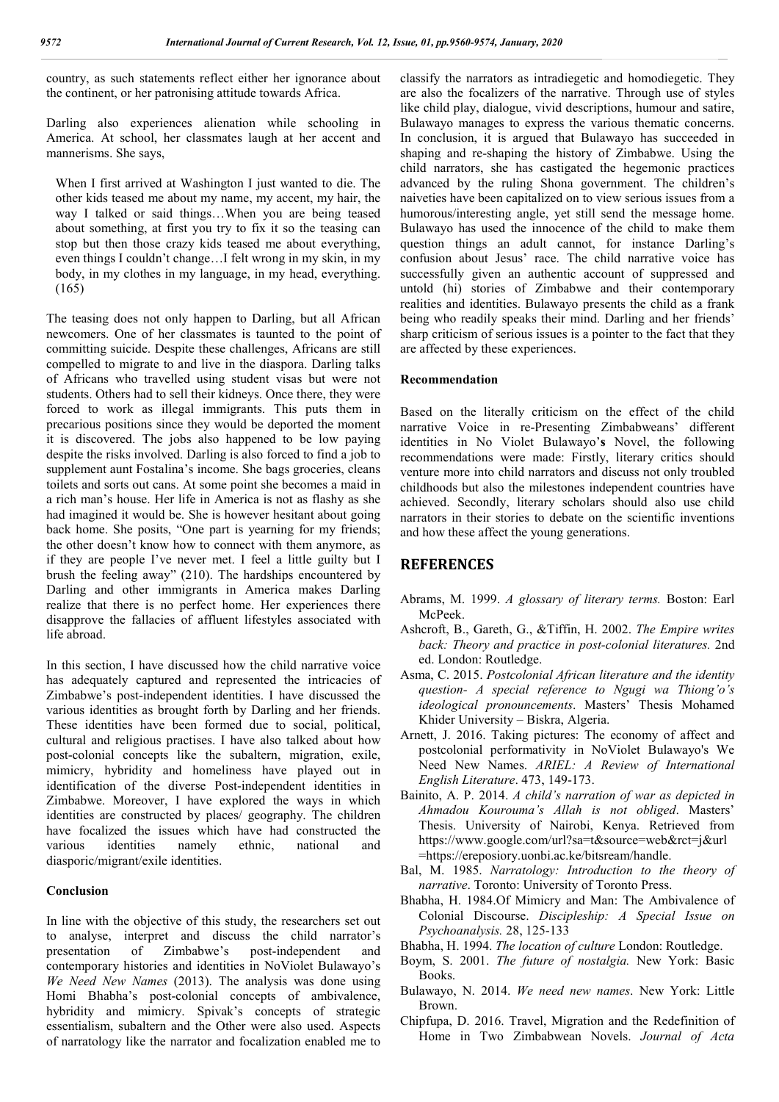country, as such statements reflect either her ignorance about the continent, or her patronising attitude towards Africa.

Darling also experiences alienation while schooling in America. At school, her classmates laugh at her accent and mannerisms. She says,

When I first arrived at Washington I just wanted to die. The other kids teased me about my name, my accent, my hair, the way I talked or said things…When you are being teased about something, at first you try to fix it so the teasing can stop but then those crazy kids teased me about everything, even things I couldn't change…I felt wrong in my skin, in my body, in my clothes in my language, in my head, everything. (165)

The teasing does not only happen to Darling, but all African newcomers. One of her classmates is taunted to the point of committing suicide. Despite these challenges, Africans are still compelled to migrate to and live in the diaspora. Darling talks of Africans who travelled using student visas but were not students. Others had to sell their kidneys. Once there, they were forced to work as illegal immigrants. This puts them in precarious positions since they would be deported the moment it is discovered. The jobs also happened to be low paying despite the risks involved. Darling is also forced to find a job to supplement aunt Fostalina's income. She bags groceries, cleans toilets and sorts out cans. At some point she becomes a maid in a rich man's house. Her life in America is not as flashy as she had imagined it would be. She is however hesitant about going back home. She posits, "One part is yearning for my friends; the other doesn't know how to connect with them anymore, as if they are people I've never met. I feel a little guilty but I brush the feeling away" (210). The hardships encountered by Darling and other immigrants in America makes Darling realize that there is no perfect home. Her experiences there disapprove the fallacies of affluent lifestyles associated with life abroad.

In this section, I have discussed how the child narrative voice has adequately captured and represented the intricacies of Zimbabwe's post-independent identities. I have discussed the various identities as brought forth by Darling and her friends. These identities have been formed due to social, political, cultural and religious practises. I have also talked about how post-colonial concepts like the subaltern, migration, exile, mimicry, hybridity and homeliness have played out in identification of the diverse Post-independent identities in Zimbabwe. Moreover, I have explored the ways in which identities are constructed by places/ geography. The children have focalized the issues which have had constructed the various identities namely ethnic, national and diasporic/migrant/exile identities.

#### **Conclusion**

In line with the objective of this study, the researchers set out to analyse, interpret and discuss the child narrator's presentation of Zimbabwe's post-independent and contemporary histories and identities in NoViolet Bulawayo's *We Need New Names* (2013). The analysis was done using Homi Bhabha's post-colonial concepts of ambivalence, hybridity and mimicry. Spivak's concepts of strategic essentialism, subaltern and the Other were also used. Aspects of narratology like the narrator and focalization enabled me to

classify the narrators as intradiegetic and homodiegetic. They are also the focalizers of the narrative. Through use of styles like child play, dialogue, vivid descriptions, humour and satire, Bulawayo manages to express the various thematic concerns. In conclusion, it is argued that Bulawayo has succeeded in shaping and re-shaping the history of Zimbabwe. Using the child narrators, she has castigated the hegemonic practices advanced by the ruling Shona government. The children's naiveties have been capitalized on to view serious issues from a humorous/interesting angle, yet still send the message home. Bulawayo has used the innocence of the child to make them question things an adult cannot, for instance Darling's confusion about Jesus' race. The child narrative voice has successfully given an authentic account of suppressed and untold (hi) stories of Zimbabwe and their contemporary realities and identities. Bulawayo presents the child as a frank being who readily speaks their mind. Darling and her friends' sharp criticism of serious issues is a pointer to the fact that they are affected by these experiences.

### **Recommendation**

Based on the literally criticism on the effect of the child narrative Voice in re-Presenting Zimbabweans' different identities in No Violet Bulawayo'**s** Novel, the following recommendations were made: Firstly, literary critics should venture more into child narrators and discuss not only troubled childhoods but also the milestones independent countries have achieved. Secondly, literary scholars should also use child narrators in their stories to debate on the scientific inventions and how these affect the young generations.

## **REFERENCES**

- Abrams, M. 1999. *A glossary of literary terms.* Boston: Earl McPeek.
- Ashcroft, B., Gareth, G., &Tiffin, H. 2002. *The Empire writes back: Theory and practice in post-colonial literatures.* 2nd ed. London: Routledge.
- Asma, C. 2015. *Postcolonial African literature and the identity question- A special reference to Ngugi wa Thiong'o's ideological pronouncements*. Masters' Thesis Mohamed Khider University – Biskra, Algeria.
- Arnett, J. 2016. Taking pictures: The economy of affect and postcolonial performativity in NoViolet Bulawayo's We Need New Names. *ARIEL: A Review of International English Literature*. 473, 149-173.
- Bainito, A. P. 2014. *A child's narration of war as depicted in Ahmadou Kourouma's Allah is not obliged*. Masters' Thesis. University of Nairobi, Kenya. Retrieved from https://www.google.com/url?sa=t&source=web&rct=j&url =https://ereposiory.uonbi.ac.ke/bitsream/handle.
- Bal, M. 1985. *Narratology: Introduction to the theory of narrative*. Toronto: University of Toronto Press.
- Bhabha, H. 1984.Of Mimicry and Man: The Ambivalence of Colonial Discourse. *Discipleship: A Special Issue on Psychoanalysis.* 28, 125-133
- Bhabha, H. 1994. *The location of culture* London: Routledge.
- Boym, S. 2001. *The future of nostalgia.* New York: Basic Books.
- Bulawayo, N. 2014. *We need new names*. New York: Little Brown.
- Chipfupa, D. 2016. Travel, Migration and the Redefinition of Home in Two Zimbabwean Novels. *Journal of Acta*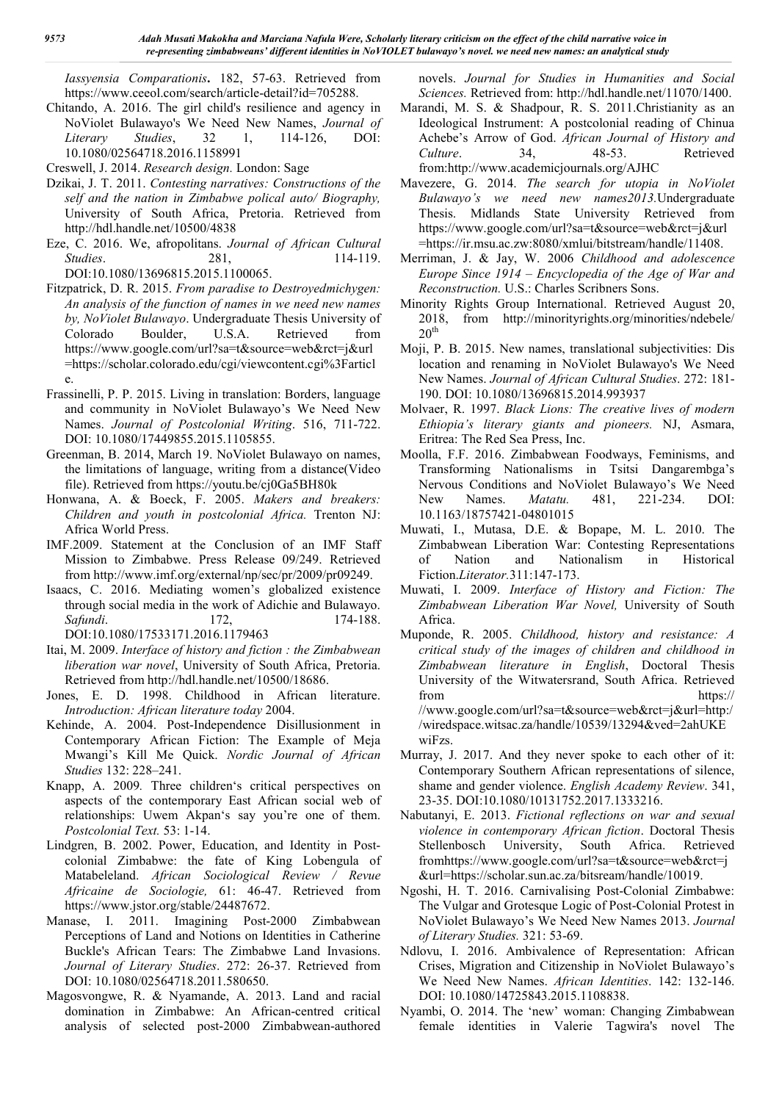*Iassyensia Comparationis***.** 182, 57-63. Retrieved from https://www.ceeol.com/search/article-detail?id=705288.

Chitando, A. 2016. The girl child's resilience and agency in NoViolet Bulawayo's We Need New Names, *Journal of Literary Studies*, 32 1, 114-126, DOI: 10.1080/02564718.2016.1158991

Creswell, J. 2014. *Research design.* London: Sage

- Dzikai, J. T. 2011. *Contesting narratives: Constructions of the self and the nation in Zimbabwe polical auto/ Biography,* University of South Africa, Pretoria. Retrieved from http://hdl.handle.net/10500/4838
- Eze, C. 2016. We, afropolitans. *Journal of African Cultural Studies.* 281, 114-119. DOI:10.1080/13696815.2015.1100065.
- Fitzpatrick, D. R. 2015. *From paradise to Destroyedmichygen: An analysis of the function of names in we need new names by, NoViolet Bulawayo*. Undergraduate Thesis University of Colorado Boulder, U.S.A. Retrieved from https://www.google.com/url?sa=t&source=web&rct=j&url =https://scholar.colorado.edu/cgi/viewcontent.cgi%3Farticl e.
- Frassinelli, P. P. 2015. Living in translation: Borders, language and community in NoViolet Bulawayo's We Need New Names. *Journal of Postcolonial Writing*. 516, 711-722. DOI: 10.1080/17449855.2015.1105855.
- Greenman, B. 2014, March 19. NoViolet Bulawayo on names, the limitations of language, writing from a distance(Video file). Retrieved from https://youtu.be/cj0Ga5BH80k
- Honwana, A. & Boeck, F. 2005. *Makers and breakers: Children and youth in postcolonial Africa.* Trenton NJ: Africa World Press.
- IMF.2009. Statement at the Conclusion of an IMF Staff Mission to Zimbabwe. Press Release 09/249. Retrieved from http://www.imf.org/external/np/sec/pr/2009/pr09249.
- Isaacs, C. 2016. Mediating women's globalized existence through social media in the work of Adichie and Bulawayo. *Safundi*. 172, 174-188. DOI:10.1080/17533171.2016.1179463
- Itai, M. 2009. *Interface of history and fiction : the Zimbabwean liberation war novel*, University of South Africa, Pretoria. Retrieved from http://hdl.handle.net/10500/18686.
- Jones, E. D. 1998. Childhood in African literature. *Introduction: African literature today* 2004.
- Kehinde, A. 2004. Post-Independence Disillusionment in Contemporary African Fiction: The Example of Meja Mwangi's Kill Me Quick. *Nordic Journal of African Studies* 132: 228–241.
- Knapp, A. 2009*.* Three children's critical perspectives on aspects of the contemporary East African social web of relationships: Uwem Akpan's say you're one of them. *Postcolonial Text.* 53: 1-14.
- Lindgren, B. 2002. Power, Education, and Identity in Postcolonial Zimbabwe: the fate of King Lobengula of Matabeleland. *African Sociological Review / Revue Africaine de Sociologie,* 61: 46-47. Retrieved from https://www.jstor.org/stable/24487672.
- Manase, I. 2011. Imagining Post-2000 Zimbabwean Perceptions of Land and Notions on Identities in Catherine Buckle's African Tears: The Zimbabwe Land Invasions. *Journal of Literary Studies*. 272: 26-37. Retrieved from DOI: 10.1080/02564718.2011.580650.
- Magosvongwe, R. & Nyamande, A. 2013. Land and racial domination in Zimbabwe: An African-centred critical analysis of selected post-2000 Zimbabwean-authored

novels. *Journal for Studies in Humanities and Social Sciences.* Retrieved from: http://hdl.handle.net/11070/1400.

- Marandi, M. S. & Shadpour, R. S. 2011.Christianity as an Ideological Instrument: A postcolonial reading of Chinua Achebe's Arrow of God. *African Journal of History and Culture*. 34, 48-53. Retrieved from:http://www.academicjournals.org/AJHC
- Mavezere, G. 2014. *The search for utopia in NoViolet Bulawayo's we need new names2013.*Undergraduate Thesis. Midlands State University Retrieved from https://www.google.com/url?sa=t&source=web&rct=j&url =https://ir.msu.ac.zw:8080/xmlui/bitstream/handle/11408.
- Merriman, J. & Jay, W. 2006 *Childhood and adolescence Europe Since 1914 – Encyclopedia of the Age of War and Reconstruction.* U.S.: Charles Scribners Sons.
- Minority Rights Group International. Retrieved August 20, 2018, from http://minorityrights.org/minorities/ndebele/  $20<sup>th</sup>$
- Moji, P. B. 2015. New names, translational subjectivities: Dis location and renaming in NoViolet Bulawayo's We Need New Names. *Journal of African Cultural Studies*. 272: 181- 190. DOI: 10.1080/13696815.2014.993937
- Molvaer, R. 1997. *Black Lions: The creative lives of modern Ethiopia's literary giants and pioneers.* NJ, Asmara, Eritrea: The Red Sea Press, Inc.
- Moolla, F.F. 2016. Zimbabwean Foodways, Feminisms, and Transforming Nationalisms in Tsitsi Dangarembga's Nervous Conditions and NoViolet Bulawayo's We Need New Names. *Matatu.* 481, 221-234. DOI: 10.1163/18757421-04801015
- Muwati, I., Mutasa, D.E. & Bopape, M. L. 2010. The Zimbabwean Liberation War: Contesting Representations of Nation and Nationalism in Historical Fiction.*Literator.*311:147-173.
- Muwati, I. 2009. *Interface of History and Fiction: The Zimbabwean Liberation War Novel,* University of South Africa.
- Muponde, R. 2005. *Childhood, history and resistance: A critical study of the images of children and childhood in Zimbabwean literature in English*, Doctoral Thesis University of the Witwatersrand, South Africa. Retrieved from https:// //www.google.com/url?sa=t&source=web&rct=j&url=http:/ /wiredspace.witsac.za/handle/10539/13294&ved=2ahUKE wiFzs.
- Murray, J. 2017. And they never spoke to each other of it: Contemporary Southern African representations of silence, shame and gender violence. *English Academy Review*. 341, 23-35. DOI:10.1080/10131752.2017.1333216.
- Nabutanyi, E. 2013. *Fictional reflections on war and sexual violence in contemporary African fiction*. Doctoral Thesis Stellenbosch University, South Africa. Retrieved fromhttps://www.google.com/url?sa=t&source=web&rct=j &url=https://scholar.sun.ac.za/bitsream/handle/10019.
- Ngoshi, H. T. 2016. Carnivalising Post-Colonial Zimbabwe: The Vulgar and Grotesque Logic of Post-Colonial Protest in NoViolet Bulawayo's We Need New Names 2013. *Journal of Literary Studies.* 321: 53-69.
- Ndlovu, I. 2016. Ambivalence of Representation: African Crises, Migration and Citizenship in NoViolet Bulawayo's We Need New Names. *African Identities*. 142: 132-146. DOI: 10.1080/14725843.2015.1108838.
- Nyambi, O. 2014. The 'new' woman: Changing Zimbabwean female identities in Valerie Tagwira's novel The